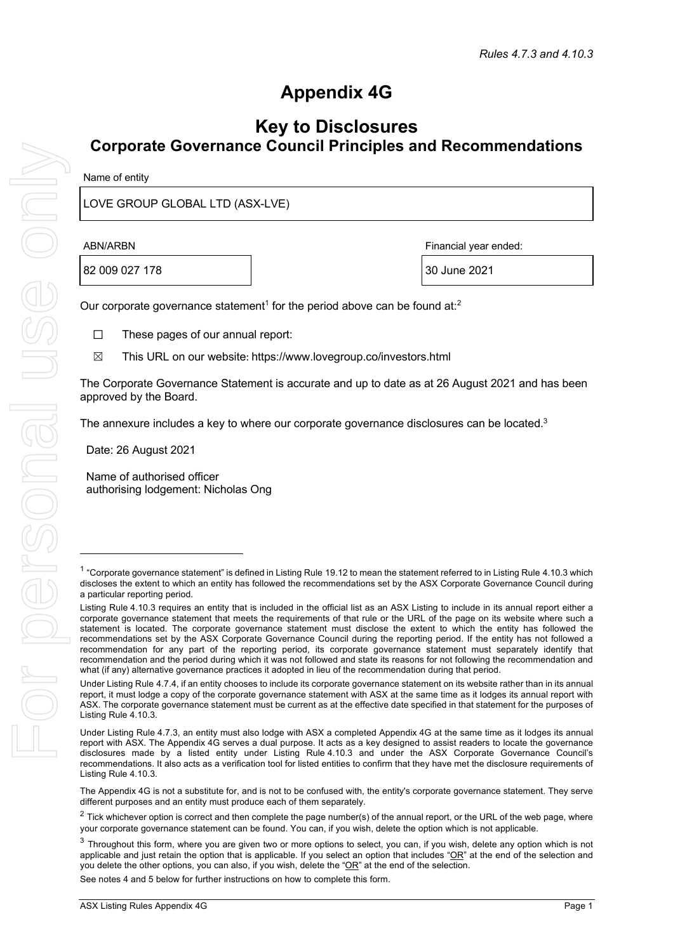# **Appendix 4G**

## **Key to Disclosures Corporate Governance Council Principles and Recommendations**

| Name of entity |  |
|----------------|--|
|----------------|--|

LOVE GROUP GLOBAL LTD (ASX-LVE)

82 009 027 178  $\vert$  30 June 2021

ABN/ARBN Financial year ended:

Our corporate governance statement<sup>1</sup> for the period above can be found at:<sup>2</sup>

- ☐ These pages of our annual report:
- ☒ This URL on our website: https://www.lovegroup.co/investors.html

The Corporate Governance Statement is accurate and up to date as at 26 August 2021 and has been approved by the Board.

The annexure includes a key to where our corporate governance disclosures can be located. $3$ 

Date: 26 August 2021

Name of authorised officer authorising lodgement: Nicholas Ong

The Appendix 4G is not a substitute for, and is not to be confused with, the entity's corporate governance statement. They serve different purposes and an entity must produce each of them separately.

See notes 4 and 5 below for further instructions on how to complete this form.

<sup>&</sup>lt;sup>1</sup> "Corporate governance statement" is defined in Listing Rule 19.12 to mean the statement referred to in Listing Rule 4.10.3 which discloses the extent to which an entity has followed the recommendations set by the ASX Corporate Governance Council during a particular reporting period.

Listing Rule 4.10.3 requires an entity that is included in the official list as an ASX Listing to include in its annual report either a corporate governance statement that meets the requirements of that rule or the URL of the page on its website where such a statement is located. The corporate governance statement must disclose the extent to which the entity has followed the recommendations set by the ASX Corporate Governance Council during the reporting period. If the entity has not followed a recommendation for any part of the reporting period, its corporate governance statement must separately identify that recommendation and the period during which it was not followed and state its reasons for not following the recommendation and what (if any) alternative governance practices it adopted in lieu of the recommendation during that period.

Under Listing Rule 4.7.4, if an entity chooses to include its corporate governance statement on its website rather than in its annual report, it must lodge a copy of the corporate governance statement with ASX at the same time as it lodges its annual report with ASX. The corporate governance statement must be current as at the effective date specified in that statement for the purposes of Listing Rule 4.10.3.

Under Listing Rule 4.7.3, an entity must also lodge with ASX a completed Appendix 4G at the same time as it lodges its annual report with ASX. The Appendix 4G serves a dual purpose. It acts as a key designed to assist readers to locate the governance disclosures made by a listed entity under Listing Rule 4.10.3 and under the ASX Corporate Governance Council's recommendations. It also acts as a verification tool for listed entities to confirm that they have met the disclosure requirements of Listing Rule 4.10.3.

 $2$  Tick whichever option is correct and then complete the page number(s) of the annual report, or the URL of the web page, where your corporate governance statement can be found. You can, if you wish, delete the option which is not applicable.

 $3$  Throughout this form, where you are given two or more options to select, you can, if you wish, delete any option which is not applicable and just retain the option that is applicable. If you select an option that includes " $QR$ " at the end of the selection and you delete the other options, you can also, if you wish, delete the "OR" at the end of the selection.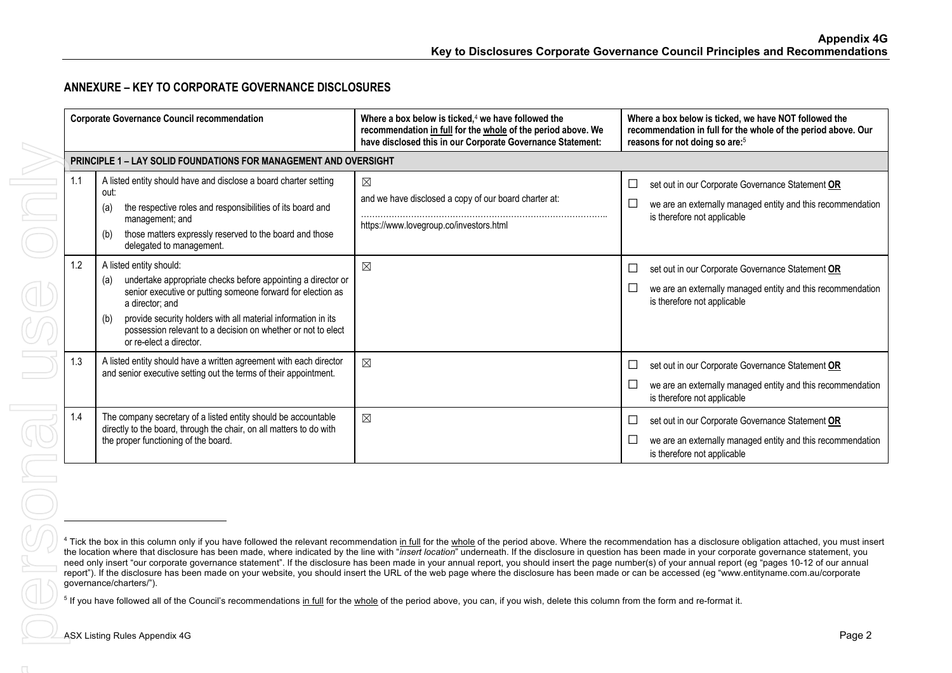## **ANNEXURE – KEY TO CORPORATE GOVERNANCE DISCLOSURES**

|     | <b>Corporate Governance Council recommendation</b>                                                                                                                                                                                                                                                                                                  | Where a box below is ticked, <sup>4</sup> we have followed the<br>recommendation in full for the whole of the period above. We<br>have disclosed this in our Corporate Governance Statement:                                                                                                                                                                                                                                                                                                                                                                                                                                                                                                                                                                                                                         | Where a box below is ticked, we have NOT followed the<br>recommendation in full for the whole of the period above. Our<br>reasons for not doing so are: <sup>5</sup>                                                     |
|-----|-----------------------------------------------------------------------------------------------------------------------------------------------------------------------------------------------------------------------------------------------------------------------------------------------------------------------------------------------------|----------------------------------------------------------------------------------------------------------------------------------------------------------------------------------------------------------------------------------------------------------------------------------------------------------------------------------------------------------------------------------------------------------------------------------------------------------------------------------------------------------------------------------------------------------------------------------------------------------------------------------------------------------------------------------------------------------------------------------------------------------------------------------------------------------------------|--------------------------------------------------------------------------------------------------------------------------------------------------------------------------------------------------------------------------|
|     | PRINCIPLE 1 - LAY SOLID FOUNDATIONS FOR MANAGEMENT AND OVERSIGHT                                                                                                                                                                                                                                                                                    |                                                                                                                                                                                                                                                                                                                                                                                                                                                                                                                                                                                                                                                                                                                                                                                                                      |                                                                                                                                                                                                                          |
| 1.1 | A listed entity should have and disclose a board charter setting<br>out:<br>the respective roles and responsibilities of its board and<br>(a)<br>management; and<br>those matters expressly reserved to the board and those<br>(b)<br>delegated to management.                                                                                      | $\boxtimes$<br>and we have disclosed a copy of our board charter at:<br>https://www.lovegroup.co/investors.html                                                                                                                                                                                                                                                                                                                                                                                                                                                                                                                                                                                                                                                                                                      | $\Box$<br>set out in our Corporate Governance Statement OR<br>$\Box$<br>we are an externally managed entity and this recommendation<br>is therefore not applicable                                                       |
| 1.2 | A listed entity should:<br>undertake appropriate checks before appointing a director or<br>(a)<br>senior executive or putting someone forward for election as<br>a director; and<br>provide security holders with all material information in its<br>(b)<br>possession relevant to a decision on whether or not to elect<br>or re-elect a director. | $\boxtimes$                                                                                                                                                                                                                                                                                                                                                                                                                                                                                                                                                                                                                                                                                                                                                                                                          | set out in our Corporate Governance Statement OR<br>$\Box$<br>we are an externally managed entity and this recommendation<br>⊔<br>is therefore not applicable                                                            |
| 1.3 | A listed entity should have a written agreement with each director<br>and senior executive setting out the terms of their appointment.                                                                                                                                                                                                              | $\boxtimes$                                                                                                                                                                                                                                                                                                                                                                                                                                                                                                                                                                                                                                                                                                                                                                                                          | set out in our Corporate Governance Statement OR<br>$\Box$<br>we are an externally managed entity and this recommendation<br>$\Box$<br>is therefore not applicable                                                       |
| 1.4 | The company secretary of a listed entity should be accountable<br>directly to the board, through the chair, on all matters to do with<br>the proper functioning of the board.                                                                                                                                                                       | $\boxtimes$                                                                                                                                                                                                                                                                                                                                                                                                                                                                                                                                                                                                                                                                                                                                                                                                          | set out in our Corporate Governance Statement OR<br>⊔<br>we are an externally managed entity and this recommendation<br>$\Box$<br>is therefore not applicable                                                            |
|     | governance/charters/").                                                                                                                                                                                                                                                                                                                             | the location where that disclosure has been made, where indicated by the line with "insert location" underneath. If the disclosure in question has been made in your corporate governance statement, you<br>need only insert "our corporate governance statement". If the disclosure has been made in your annual report, you should insert the page number(s) of your annual report (eg "pages 10-12 of our annual<br>report"). If the disclosure has been made on your website, you should insert the URL of the web page where the disclosure has been made or can be accessed (eg "www.entityname.com.au/corporate<br><sup>5</sup> If you have followed all of the Council's recommendations in full for the whole of the period above, you can, if you wish, delete this column from the form and re-format it. | <sup>4</sup> Tick the box in this column only if you have followed the relevant recommendation in full for the whole of the period above. Where the recommendation has a disclosure obligation attached, you must insert |
|     | ASX Listing Rules Appendix 4G                                                                                                                                                                                                                                                                                                                       |                                                                                                                                                                                                                                                                                                                                                                                                                                                                                                                                                                                                                                                                                                                                                                                                                      | Page 2                                                                                                                                                                                                                   |
|     |                                                                                                                                                                                                                                                                                                                                                     |                                                                                                                                                                                                                                                                                                                                                                                                                                                                                                                                                                                                                                                                                                                                                                                                                      |                                                                                                                                                                                                                          |

<sup>&</sup>lt;sup>4</sup> Tick the box in this column only if you have followed the relevant recommendation in full for the whole of the period above. Where the recommendation has a disclosure obligation attached, you must insert the location where that disclosure has been made, where indicated by the line with "*insert location*" underneath. If the disclosure in question has been made in your corporate governance statement, you need only insert "our corporate governance statement". If the disclosure has been made in your annual report, you should insert the page number(s) of your annual report (eg "pages 10-12 of our annual report"). If the disclosure has been made on your website, you should insert the URL of the web page where the disclosure has been made or can be accessed (eg "www.entityname.com.au/corporate governance/charters/").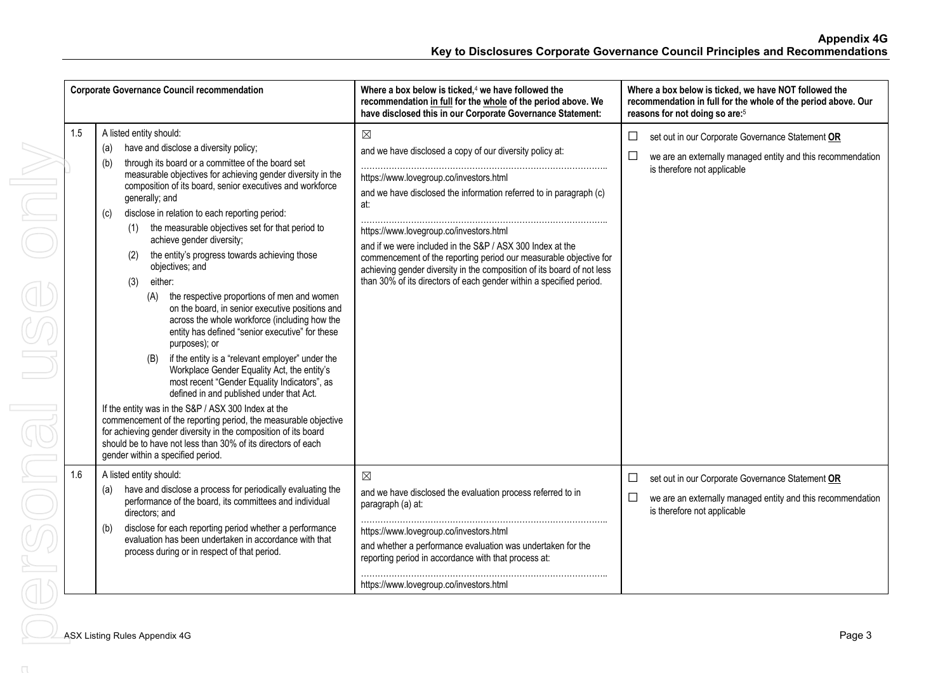|     | <b>Corporate Governance Council recommendation</b>                                                                                                                                                                                                                                                                                                                                                                                                                                                                                                                                                                                                                                                                                                                                                                                                                                                                                                                                                                                                                                                                                                                                                                                                                  | Where a box below is ticked, $4$ we have followed the<br>recommendation in full for the whole of the period above. We<br>have disclosed this in our Corporate Governance Statement:                                                                                                                                                                                                                                                                                                                                           | Where a box below is ticked, we have NOT followed the<br>recommendation in full for the whole of the period above. Our<br>reasons for not doing so are: <sup>5</sup> |
|-----|---------------------------------------------------------------------------------------------------------------------------------------------------------------------------------------------------------------------------------------------------------------------------------------------------------------------------------------------------------------------------------------------------------------------------------------------------------------------------------------------------------------------------------------------------------------------------------------------------------------------------------------------------------------------------------------------------------------------------------------------------------------------------------------------------------------------------------------------------------------------------------------------------------------------------------------------------------------------------------------------------------------------------------------------------------------------------------------------------------------------------------------------------------------------------------------------------------------------------------------------------------------------|-------------------------------------------------------------------------------------------------------------------------------------------------------------------------------------------------------------------------------------------------------------------------------------------------------------------------------------------------------------------------------------------------------------------------------------------------------------------------------------------------------------------------------|----------------------------------------------------------------------------------------------------------------------------------------------------------------------|
| 1.5 | A listed entity should:<br>have and disclose a diversity policy;<br>(a)<br>through its board or a committee of the board set<br>(b)<br>measurable objectives for achieving gender diversity in the<br>composition of its board, senior executives and workforce<br>generally; and<br>disclose in relation to each reporting period:<br>(c)<br>the measurable objectives set for that period to<br>(1)<br>achieve gender diversity;<br>the entity's progress towards achieving those<br>(2)<br>objectives; and<br>either:<br>(3)<br>the respective proportions of men and women<br>(A)<br>on the board, in senior executive positions and<br>across the whole workforce (including how the<br>entity has defined "senior executive" for these<br>purposes); or<br>if the entity is a "relevant employer" under the<br>(B)<br>Workplace Gender Equality Act, the entity's<br>most recent "Gender Equality Indicators", as<br>defined in and published under that Act.<br>If the entity was in the S&P / ASX 300 Index at the<br>commencement of the reporting period, the measurable objective<br>for achieving gender diversity in the composition of its board<br>should be to have not less than 30% of its directors of each<br>gender within a specified period. | $\boxtimes$<br>and we have disclosed a copy of our diversity policy at:<br>https://www.lovegroup.co/investors.html<br>and we have disclosed the information referred to in paragraph (c)<br>at:<br>https://www.lovegroup.co/investors.html<br>and if we were included in the S&P / ASX 300 Index at the<br>commencement of the reporting period our measurable objective for<br>achieving gender diversity in the composition of its board of not less<br>than 30% of its directors of each gender within a specified period. | $\Box$<br>set out in our Corporate Governance Statement OR<br>$\Box$<br>we are an externally managed entity and this recommendation<br>is therefore not applicable   |
| 1.6 | A listed entity should:<br>have and disclose a process for periodically evaluating the<br>(a)<br>performance of the board, its committees and individual<br>directors; and<br>disclose for each reporting period whether a performance<br>(b)<br>evaluation has been undertaken in accordance with that<br>process during or in respect of that period.                                                                                                                                                                                                                                                                                                                                                                                                                                                                                                                                                                                                                                                                                                                                                                                                                                                                                                             | ⊠<br>and we have disclosed the evaluation process referred to in<br>paragraph (a) at:<br>https://www.lovegroup.co/investors.html<br>and whether a performance evaluation was undertaken for the<br>reporting period in accordance with that process at:<br>https://www.lovegroup.co/investors.html                                                                                                                                                                                                                            | set out in our Corporate Governance Statement OR<br>⊔<br>□<br>we are an externally managed entity and this recommendation<br>is therefore not applicable             |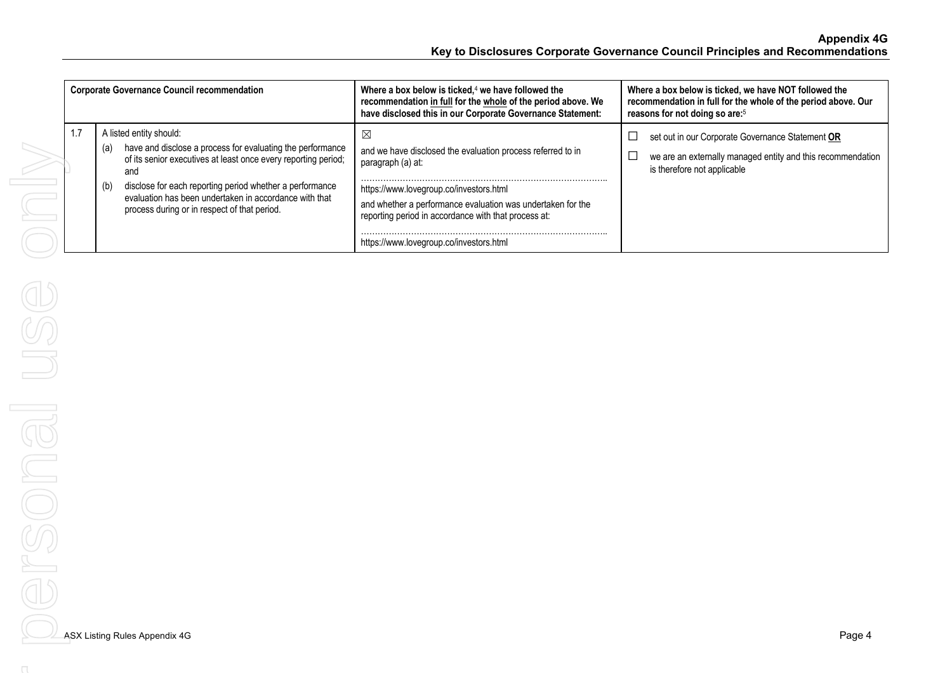| <b>Corporate Governance Council recommendation</b> |                                                                                                                                                                                                                                                                                                                                                    | Where a box below is ticked, $4$ we have followed the<br>recommendation in full for the whole of the period above. We<br>have disclosed this in our Corporate Governance Statement:                                                                                                                | Where a box below is ticked, we have NOT followed the<br>recommendation in full for the whole of the period above. Our<br>reasons for not doing so are: <sup>5</sup> |
|----------------------------------------------------|----------------------------------------------------------------------------------------------------------------------------------------------------------------------------------------------------------------------------------------------------------------------------------------------------------------------------------------------------|----------------------------------------------------------------------------------------------------------------------------------------------------------------------------------------------------------------------------------------------------------------------------------------------------|----------------------------------------------------------------------------------------------------------------------------------------------------------------------|
| 1.7                                                | A listed entity should:<br>have and disclose a process for evaluating the performance<br>(a)<br>of its senior executives at least once every reporting period;<br>and<br>disclose for each reporting period whether a performance<br>(b)<br>evaluation has been undertaken in accordance with that<br>process during or in respect of that period. | ⊠<br>and we have disclosed the evaluation process referred to in<br>paragraph (a) at:<br>https://www.lovegroup.co/investors.html<br>and whether a performance evaluation was undertaken for the<br>reporting period in accordance with that process at:<br>https://www.lovegroup.co/investors.html | set out in our Corporate Governance Statement OR<br>we are an externally managed entity and this recommendation<br>is therefore not applicable                       |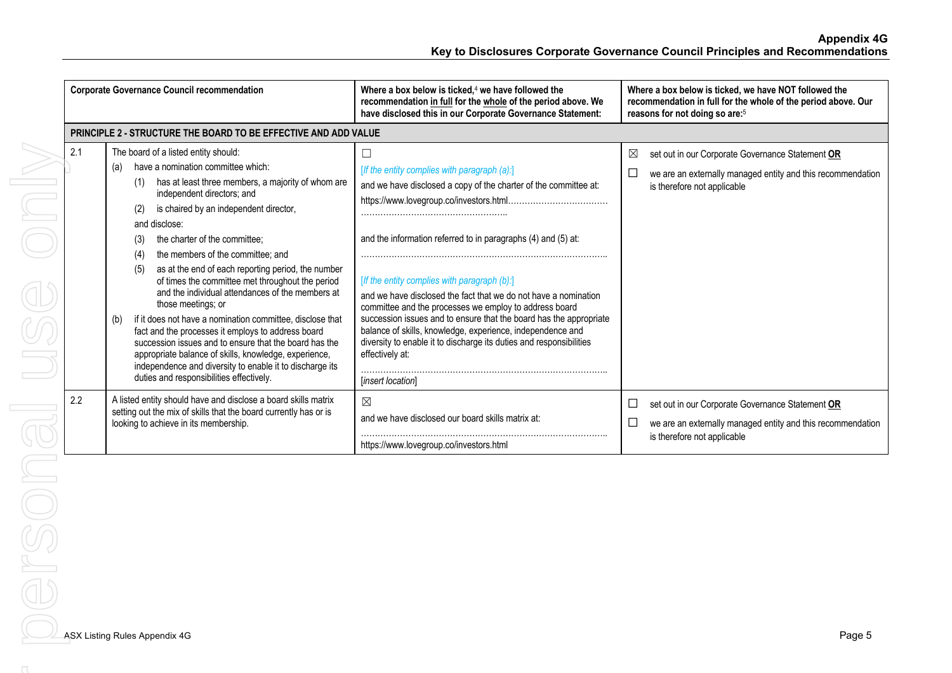**Appendix 4G Key to Disclosures Corporate Governance Council Principles and Recommendations**

|     | <b>Corporate Governance Council recommendation</b>                                                                                                                                                                                                                                                                                                                                                                                                                                                                                                                                                                                                                                                                                                                                                                                     | Where a box below is ticked, $4$ we have followed the<br>recommendation in full for the whole of the period above. We<br>have disclosed this in our Corporate Governance Statement:                                                                                                                                                                                                                                                                                                                                                                                                          | Where a box below is ticked, we have NOT followed the<br>recommendation in full for the whole of the period above. Our<br>reasons for not doing so are: <sup>5</sup> |
|-----|----------------------------------------------------------------------------------------------------------------------------------------------------------------------------------------------------------------------------------------------------------------------------------------------------------------------------------------------------------------------------------------------------------------------------------------------------------------------------------------------------------------------------------------------------------------------------------------------------------------------------------------------------------------------------------------------------------------------------------------------------------------------------------------------------------------------------------------|----------------------------------------------------------------------------------------------------------------------------------------------------------------------------------------------------------------------------------------------------------------------------------------------------------------------------------------------------------------------------------------------------------------------------------------------------------------------------------------------------------------------------------------------------------------------------------------------|----------------------------------------------------------------------------------------------------------------------------------------------------------------------|
|     | PRINCIPLE 2 - STRUCTURE THE BOARD TO BE EFFECTIVE AND ADD VALUE                                                                                                                                                                                                                                                                                                                                                                                                                                                                                                                                                                                                                                                                                                                                                                        |                                                                                                                                                                                                                                                                                                                                                                                                                                                                                                                                                                                              |                                                                                                                                                                      |
| 2.1 | The board of a listed entity should:<br>have a nomination committee which:<br>(a)<br>has at least three members, a majority of whom are<br>(1)<br>independent directors; and<br>is chaired by an independent director,<br>(2)<br>and disclose:<br>the charter of the committee:<br>(3)<br>the members of the committee; and<br>(4)<br>as at the end of each reporting period, the number<br>(5)<br>of times the committee met throughout the period<br>and the individual attendances of the members at<br>those meetings; or<br>if it does not have a nomination committee, disclose that<br>(b)<br>fact and the processes it employs to address board<br>succession issues and to ensure that the board has the<br>appropriate balance of skills, knowledge, experience,<br>independence and diversity to enable it to discharge its | [If the entity complies with paragraph (a):]<br>and we have disclosed a copy of the charter of the committee at:<br>and the information referred to in paragraphs (4) and (5) at:<br>[If the entity complies with paragraph (b):]<br>and we have disclosed the fact that we do not have a nomination<br>committee and the processes we employ to address board<br>succession issues and to ensure that the board has the appropriate<br>balance of skills, knowledge, experience, independence and<br>diversity to enable it to discharge its duties and responsibilities<br>effectively at: | X<br>set out in our Corporate Governance Statement OR<br>we are an externally managed entity and this recommendation<br>is therefore not applicable                  |
| 2.2 | duties and responsibilities effectively.<br>A listed entity should have and disclose a board skills matrix<br>setting out the mix of skills that the board currently has or is<br>looking to achieve in its membership.                                                                                                                                                                                                                                                                                                                                                                                                                                                                                                                                                                                                                | [insert location]<br>$\boxtimes$<br>and we have disclosed our board skills matrix at:<br>https://www.lovegroup.co/investors.html                                                                                                                                                                                                                                                                                                                                                                                                                                                             | set out in our Corporate Governance Statement OR<br>$\Box$<br>we are an externally managed entity and this recommendation<br>L<br>is therefore not applicable        |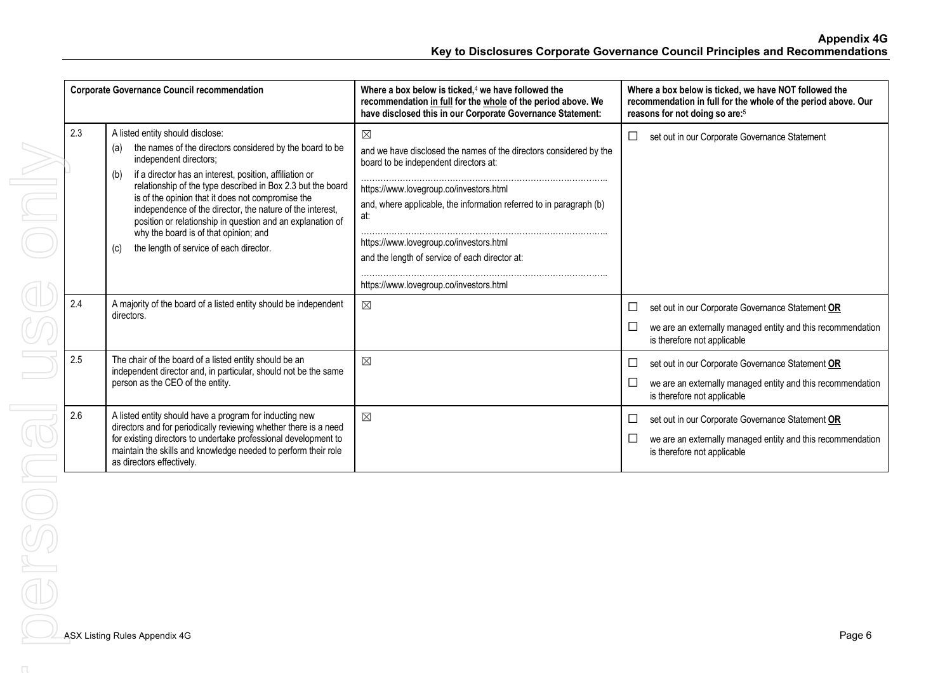| <b>Corporate Governance Council recommendation</b> |                                                                                                                                                                                                                                                                                                                                                                                                                                                                                                                                           | Where a box below is ticked, $4$ we have followed the<br>recommendation in full for the whole of the period above. We<br>have disclosed this in our Corporate Governance Statement:                                                                                                                                                              | Where a box below is ticked, we have NOT followed the<br>recommendation in full for the whole of the period above. Our<br>reasons for not doing so are: <sup>5</sup> |
|----------------------------------------------------|-------------------------------------------------------------------------------------------------------------------------------------------------------------------------------------------------------------------------------------------------------------------------------------------------------------------------------------------------------------------------------------------------------------------------------------------------------------------------------------------------------------------------------------------|--------------------------------------------------------------------------------------------------------------------------------------------------------------------------------------------------------------------------------------------------------------------------------------------------------------------------------------------------|----------------------------------------------------------------------------------------------------------------------------------------------------------------------|
| 2.3                                                | A listed entity should disclose:<br>the names of the directors considered by the board to be<br>(a)<br>independent directors;<br>if a director has an interest, position, affiliation or<br>(b)<br>relationship of the type described in Box 2.3 but the board<br>is of the opinion that it does not compromise the<br>independence of the director, the nature of the interest,<br>position or relationship in question and an explanation of<br>why the board is of that opinion; and<br>the length of service of each director.<br>(c) | $\boxtimes$<br>and we have disclosed the names of the directors considered by the<br>board to be independent directors at:<br>https://www.lovegroup.co/investors.html<br>and, where applicable, the information referred to in paragraph (b)<br>at:<br>https://www.lovegroup.co/investors.html<br>and the length of service of each director at: | set out in our Corporate Governance Statement<br>$\Box$                                                                                                              |
|                                                    |                                                                                                                                                                                                                                                                                                                                                                                                                                                                                                                                           | https://www.lovegroup.co/investors.html                                                                                                                                                                                                                                                                                                          |                                                                                                                                                                      |
| 2.4                                                | A majority of the board of a listed entity should be independent<br>directors.                                                                                                                                                                                                                                                                                                                                                                                                                                                            | $\boxtimes$                                                                                                                                                                                                                                                                                                                                      | set out in our Corporate Governance Statement OR<br>we are an externally managed entity and this recommendation<br>is therefore not applicable                       |
| 2.5                                                | The chair of the board of a listed entity should be an<br>independent director and, in particular, should not be the same<br>person as the CEO of the entity.                                                                                                                                                                                                                                                                                                                                                                             | $\boxtimes$                                                                                                                                                                                                                                                                                                                                      | set out in our Corporate Governance Statement OR<br>$\Box$<br>we are an externally managed entity and this recommendation<br>is therefore not applicable             |
| 2.6                                                | A listed entity should have a program for inducting new<br>directors and for periodically reviewing whether there is a need<br>for existing directors to undertake professional development to<br>maintain the skills and knowledge needed to perform their role<br>as directors effectively.                                                                                                                                                                                                                                             | $\boxtimes$                                                                                                                                                                                                                                                                                                                                      | set out in our Corporate Governance Statement OR<br>$\Box$<br>we are an externally managed entity and this recommendation<br>is therefore not applicable             |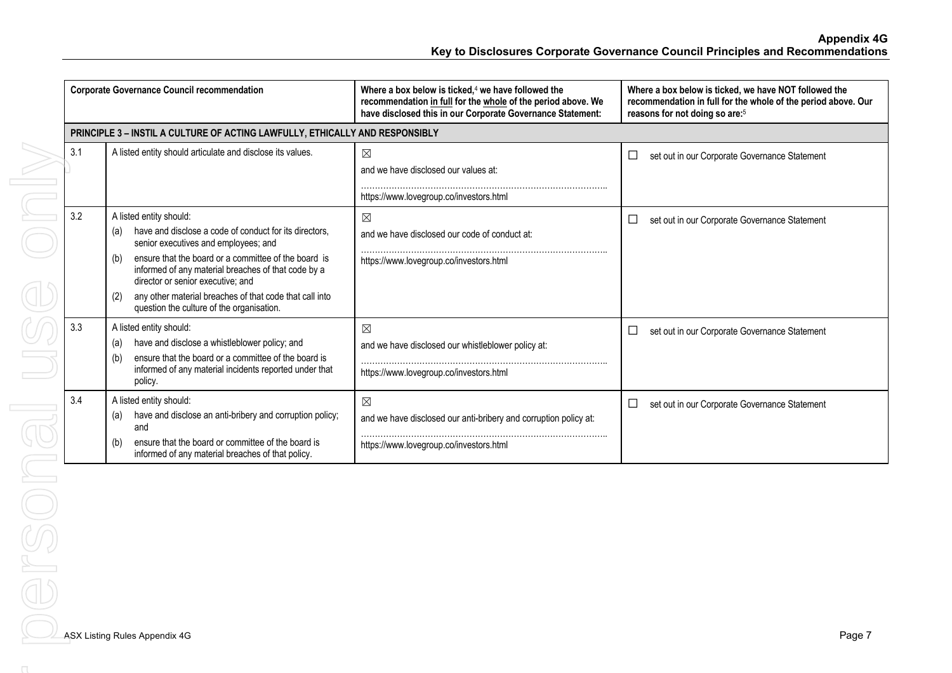**Appendix 4G Key to Disclosures Corporate Governance Council Principles and Recommendations**

|     | <b>Corporate Governance Council recommendation</b>                                                                                                                                                                                                                                                                                                                                                         | Where a box below is ticked, $4$ we have followed the<br>recommendation in full for the whole of the period above. We<br>have disclosed this in our Corporate Governance Statement: | Where a box below is ticked, we have NOT followed the<br>recommendation in full for the whole of the period above. Our<br>reasons for not doing so are: <sup>5</sup> |
|-----|------------------------------------------------------------------------------------------------------------------------------------------------------------------------------------------------------------------------------------------------------------------------------------------------------------------------------------------------------------------------------------------------------------|-------------------------------------------------------------------------------------------------------------------------------------------------------------------------------------|----------------------------------------------------------------------------------------------------------------------------------------------------------------------|
|     | PRINCIPLE 3 - INSTIL A CULTURE OF ACTING LAWFULLY, ETHICALLY AND RESPONSIBLY                                                                                                                                                                                                                                                                                                                               |                                                                                                                                                                                     |                                                                                                                                                                      |
| 3.1 | A listed entity should articulate and disclose its values.                                                                                                                                                                                                                                                                                                                                                 | $\boxtimes$<br>and we have disclosed our values at:<br>https://www.lovegroup.co/investors.html                                                                                      | □<br>set out in our Corporate Governance Statement                                                                                                                   |
| 3.2 | A listed entity should:<br>have and disclose a code of conduct for its directors.<br>(a)<br>senior executives and employees; and<br>ensure that the board or a committee of the board is<br>(b)<br>informed of any material breaches of that code by a<br>director or senior executive; and<br>any other material breaches of that code that call into<br>(2)<br>question the culture of the organisation. | $\boxtimes$<br>and we have disclosed our code of conduct at:<br>https://www.lovegroup.co/investors.html                                                                             | set out in our Corporate Governance Statement<br>$\Box$                                                                                                              |
| 3.3 | A listed entity should:<br>have and disclose a whistleblower policy; and<br>(a)<br>ensure that the board or a committee of the board is<br>(b)<br>informed of any material incidents reported under that<br>policy.                                                                                                                                                                                        | $\boxtimes$<br>and we have disclosed our whistleblower policy at:<br>https://www.lovegroup.co/investors.html                                                                        | □<br>set out in our Corporate Governance Statement                                                                                                                   |
| 3.4 | A listed entity should:<br>have and disclose an anti-bribery and corruption policy;<br>(a)<br>and<br>ensure that the board or committee of the board is<br>(b)<br>informed of any material breaches of that policy.                                                                                                                                                                                        | $\boxtimes$<br>and we have disclosed our anti-bribery and corruption policy at:<br>https://www.lovegroup.co/investors.html                                                          | П<br>set out in our Corporate Governance Statement                                                                                                                   |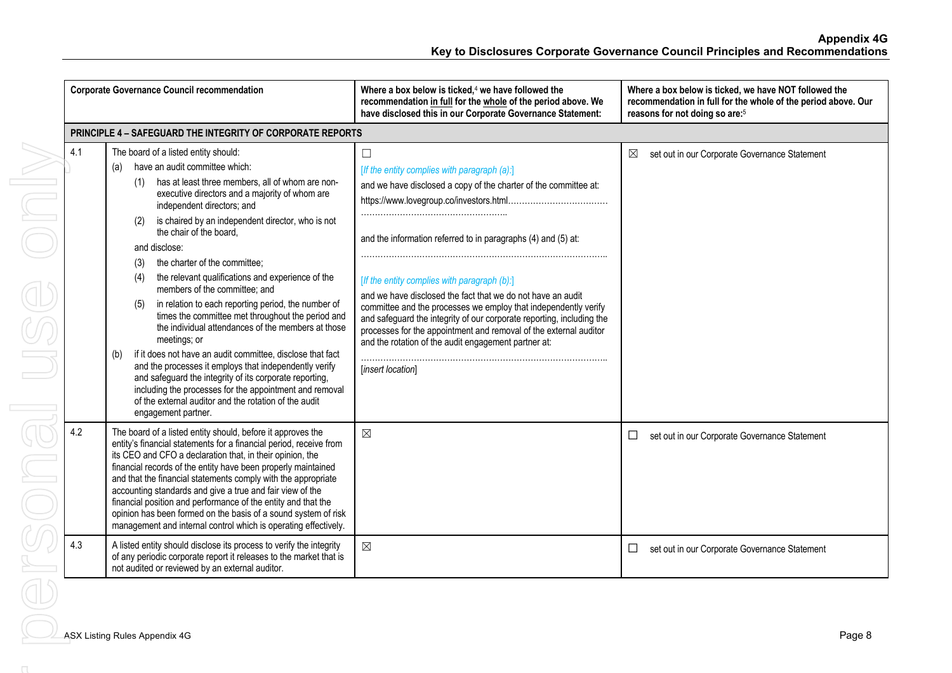|     | <b>Corporate Governance Council recommendation</b>                                                                                                                                                                                                                                                                                                                                                                                                                                                                                                                                                                                                                                                                                                                                                                                                                                                                                                                                                  | Where a box below is ticked, <sup>4</sup> we have followed the<br>recommendation in full for the whole of the period above. We<br>have disclosed this in our Corporate Governance Statement:                                                                                                                                                                                                                                                                                                                                                                                                             | Where a box below is ticked, we have NOT followed the<br>recommendation in full for the whole of the period above. Our<br>reasons for not doing so are: <sup>5</sup> |
|-----|-----------------------------------------------------------------------------------------------------------------------------------------------------------------------------------------------------------------------------------------------------------------------------------------------------------------------------------------------------------------------------------------------------------------------------------------------------------------------------------------------------------------------------------------------------------------------------------------------------------------------------------------------------------------------------------------------------------------------------------------------------------------------------------------------------------------------------------------------------------------------------------------------------------------------------------------------------------------------------------------------------|----------------------------------------------------------------------------------------------------------------------------------------------------------------------------------------------------------------------------------------------------------------------------------------------------------------------------------------------------------------------------------------------------------------------------------------------------------------------------------------------------------------------------------------------------------------------------------------------------------|----------------------------------------------------------------------------------------------------------------------------------------------------------------------|
|     | <b>PRINCIPLE 4 - SAFEGUARD THE INTEGRITY OF CORPORATE REPORTS</b>                                                                                                                                                                                                                                                                                                                                                                                                                                                                                                                                                                                                                                                                                                                                                                                                                                                                                                                                   |                                                                                                                                                                                                                                                                                                                                                                                                                                                                                                                                                                                                          |                                                                                                                                                                      |
| 4.1 | The board of a listed entity should:<br>have an audit committee which:<br>(a)<br>has at least three members, all of whom are non-<br>(1)<br>executive directors and a majority of whom are<br>independent directors; and<br>is chaired by an independent director, who is not<br>(2)<br>the chair of the board.<br>and disclose:<br>the charter of the committee;<br>(3)<br>the relevant qualifications and experience of the<br>(4)<br>members of the committee; and<br>in relation to each reporting period, the number of<br>(5)<br>times the committee met throughout the period and<br>the individual attendances of the members at those<br>meetings; or<br>if it does not have an audit committee, disclose that fact<br>(b)<br>and the processes it employs that independently verify<br>and safeguard the integrity of its corporate reporting,<br>including the processes for the appointment and removal<br>of the external auditor and the rotation of the audit<br>engagement partner. | $\Box$<br>[If the entity complies with paragraph (a):]<br>and we have disclosed a copy of the charter of the committee at:<br>and the information referred to in paragraphs (4) and (5) at:<br>[If the entity complies with paragraph (b):]<br>and we have disclosed the fact that we do not have an audit<br>committee and the processes we employ that independently verify<br>and safeguard the integrity of our corporate reporting, including the<br>processes for the appointment and removal of the external auditor<br>and the rotation of the audit engagement partner at:<br>[insert location] | set out in our Corporate Governance Statement<br>⊠                                                                                                                   |
| 4.2 | The board of a listed entity should, before it approves the<br>entity's financial statements for a financial period, receive from<br>its CEO and CFO a declaration that, in their opinion, the<br>financial records of the entity have been properly maintained<br>and that the financial statements comply with the appropriate<br>accounting standards and give a true and fair view of the<br>financial position and performance of the entity and that the<br>opinion has been formed on the basis of a sound system of risk<br>management and internal control which is operating effectively.                                                                                                                                                                                                                                                                                                                                                                                                 | $\boxtimes$                                                                                                                                                                                                                                                                                                                                                                                                                                                                                                                                                                                              | set out in our Corporate Governance Statement                                                                                                                        |
| 4.3 | A listed entity should disclose its process to verify the integrity<br>of any periodic corporate report it releases to the market that is<br>not audited or reviewed by an external auditor.                                                                                                                                                                                                                                                                                                                                                                                                                                                                                                                                                                                                                                                                                                                                                                                                        | $\boxtimes$                                                                                                                                                                                                                                                                                                                                                                                                                                                                                                                                                                                              | set out in our Corporate Governance Statement<br>$\Box$                                                                                                              |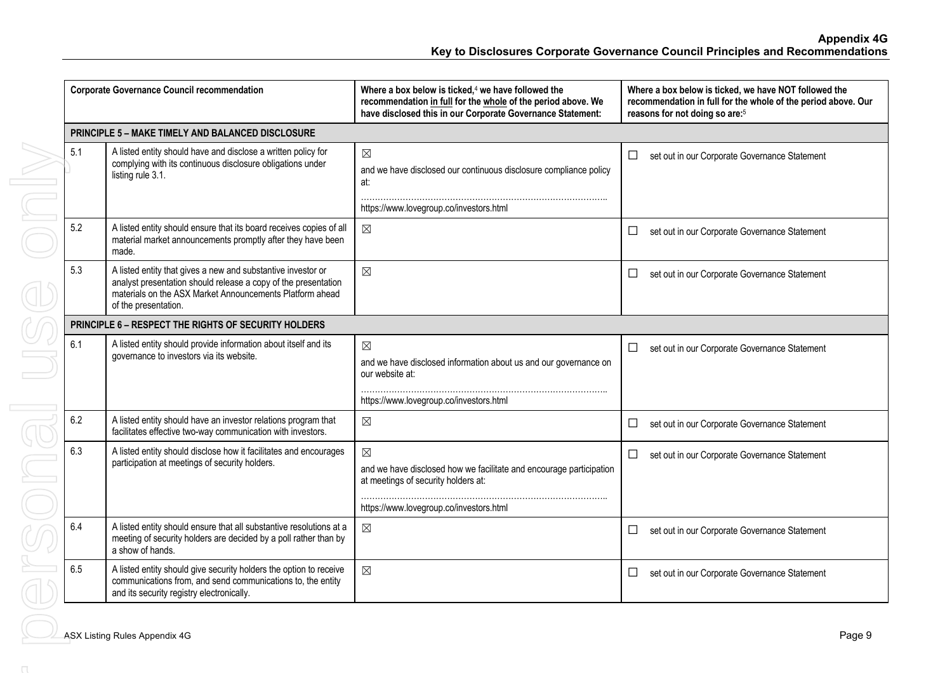|     | <b>Corporate Governance Council recommendation</b>                                                                                                                                                                 | Where a box below is ticked, $4$ we have followed the<br>recommendation in full for the whole of the period above. We<br>have disclosed this in our Corporate Governance Statement: | Where a box below is ticked, we have NOT followed the<br>recommendation in full for the whole of the period above. Our<br>reasons for not doing so are: <sup>5</sup> |
|-----|--------------------------------------------------------------------------------------------------------------------------------------------------------------------------------------------------------------------|-------------------------------------------------------------------------------------------------------------------------------------------------------------------------------------|----------------------------------------------------------------------------------------------------------------------------------------------------------------------|
|     | <b>PRINCIPLE 5 - MAKE TIMELY AND BALANCED DISCLOSURE</b>                                                                                                                                                           |                                                                                                                                                                                     |                                                                                                                                                                      |
| 5.1 | A listed entity should have and disclose a written policy for<br>complying with its continuous disclosure obligations under<br>listing rule 3.1.                                                                   | $\boxtimes$<br>and we have disclosed our continuous disclosure compliance policy<br>at:<br>https://www.lovegroup.co/investors.html                                                  | set out in our Corporate Governance Statement<br>$\Box$                                                                                                              |
| 5.2 | A listed entity should ensure that its board receives copies of all<br>material market announcements promptly after they have been<br>made.                                                                        | $\boxtimes$                                                                                                                                                                         | set out in our Corporate Governance Statement<br>$\Box$                                                                                                              |
| 5.3 | A listed entity that gives a new and substantive investor or<br>analyst presentation should release a copy of the presentation<br>materials on the ASX Market Announcements Platform ahead<br>of the presentation. | $\boxtimes$                                                                                                                                                                         | set out in our Corporate Governance Statement<br>$\Box$                                                                                                              |
|     | <b>PRINCIPLE 6 - RESPECT THE RIGHTS OF SECURITY HOLDERS</b>                                                                                                                                                        |                                                                                                                                                                                     |                                                                                                                                                                      |
| 6.1 | A listed entity should provide information about itself and its<br>governance to investors via its website.                                                                                                        | $\boxtimes$<br>and we have disclosed information about us and our governance on<br>our website at:                                                                                  | $\Box$<br>set out in our Corporate Governance Statement                                                                                                              |
|     |                                                                                                                                                                                                                    | https://www.lovegroup.co/investors.html                                                                                                                                             |                                                                                                                                                                      |
| 6.2 | A listed entity should have an investor relations program that<br>facilitates effective two-way communication with investors.                                                                                      | $\boxtimes$                                                                                                                                                                         | set out in our Corporate Governance Statement<br>$\Box$                                                                                                              |
| 6.3 | A listed entity should disclose how it facilitates and encourages<br>participation at meetings of security holders.                                                                                                | $\boxtimes$<br>and we have disclosed how we facilitate and encourage participation<br>at meetings of security holders at:<br>https://www.lovegroup.co/investors.html                | set out in our Corporate Governance Statement<br>$\Box$                                                                                                              |
| 6.4 | A listed entity should ensure that all substantive resolutions at a<br>meeting of security holders are decided by a poll rather than by<br>a show of hands.                                                        | $\boxtimes$                                                                                                                                                                         | set out in our Corporate Governance Statement<br>ப                                                                                                                   |
| 6.5 | A listed entity should give security holders the option to receive<br>communications from, and send communications to, the entity<br>and its security registry electronically.                                     | $\boxtimes$                                                                                                                                                                         | set out in our Corporate Governance Statement<br>ப                                                                                                                   |
|     | <b>ASX Listing Rules Appendix 4G</b>                                                                                                                                                                               |                                                                                                                                                                                     | Page 9                                                                                                                                                               |
|     |                                                                                                                                                                                                                    |                                                                                                                                                                                     |                                                                                                                                                                      |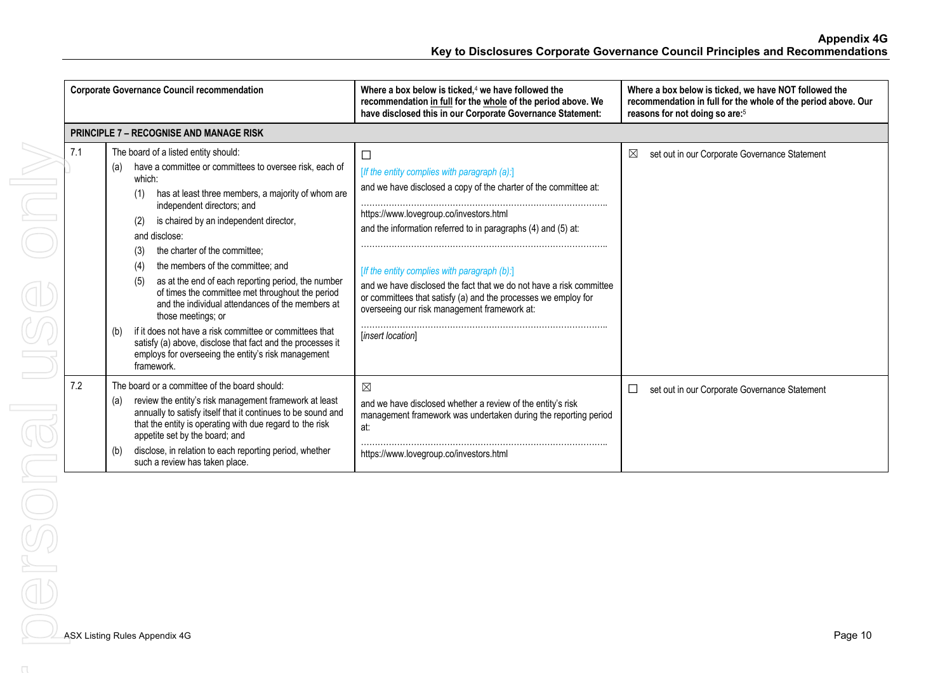|     | <b>Corporate Governance Council recommendation</b>                                                                                                                                                                                                                                           | Where a box below is ticked. <sup>4</sup> we have followed the<br>recommendation in full for the whole of the period above. We<br>have disclosed this in our Corporate Governance Statement:                                                                                                           | Where a box below is ticked, we have NOT followed the<br>recommendation in full for the whole of the period above. Our<br>reasons for not doing so are: <sup>5</sup> |
|-----|----------------------------------------------------------------------------------------------------------------------------------------------------------------------------------------------------------------------------------------------------------------------------------------------|--------------------------------------------------------------------------------------------------------------------------------------------------------------------------------------------------------------------------------------------------------------------------------------------------------|----------------------------------------------------------------------------------------------------------------------------------------------------------------------|
|     | <b>PRINCIPLE 7 - RECOGNISE AND MANAGE RISK</b>                                                                                                                                                                                                                                               |                                                                                                                                                                                                                                                                                                        |                                                                                                                                                                      |
| 7.1 | The board of a listed entity should:<br>have a committee or committees to oversee risk, each of<br>(a)<br>which:<br>has at least three members, a majority of whom are<br>(1)<br>independent directors; and<br>is chaired by an independent director,<br>(2)                                 | □<br>[If the entity complies with paragraph (a):]<br>and we have disclosed a copy of the charter of the committee at:<br>https://www.lovegroup.co/investors.html                                                                                                                                       | $\boxtimes$<br>set out in our Corporate Governance Statement                                                                                                         |
|     | and disclose:<br>the charter of the committee:<br>(3)<br>the members of the committee; and<br>(4)<br>as at the end of each reporting period, the number<br>(5)<br>of times the committee met throughout the period<br>and the individual attendances of the members at<br>those meetings; or | and the information referred to in paragraphs (4) and (5) at:<br>[If the entity complies with paragraph (b):]<br>and we have disclosed the fact that we do not have a risk committee<br>or committees that satisfy (a) and the processes we employ for<br>overseeing our risk management framework at: |                                                                                                                                                                      |
|     | if it does not have a risk committee or committees that<br>(b)<br>satisfy (a) above, disclose that fact and the processes it<br>employs for overseeing the entity's risk management<br>framework.                                                                                            | [insert location]                                                                                                                                                                                                                                                                                      |                                                                                                                                                                      |
| 7.2 | The board or a committee of the board should:<br>review the entity's risk management framework at least<br>(a)<br>annually to satisfy itself that it continues to be sound and<br>that the entity is operating with due regard to the risk<br>appetite set by the board; and                 | $\boxtimes$<br>and we have disclosed whether a review of the entity's risk<br>management framework was undertaken during the reporting period<br>at:                                                                                                                                                   | set out in our Corporate Governance Statement                                                                                                                        |
|     | disclose, in relation to each reporting period, whether<br>(b)<br>such a review has taken place.                                                                                                                                                                                             | https://www.lovegroup.co/investors.html                                                                                                                                                                                                                                                                |                                                                                                                                                                      |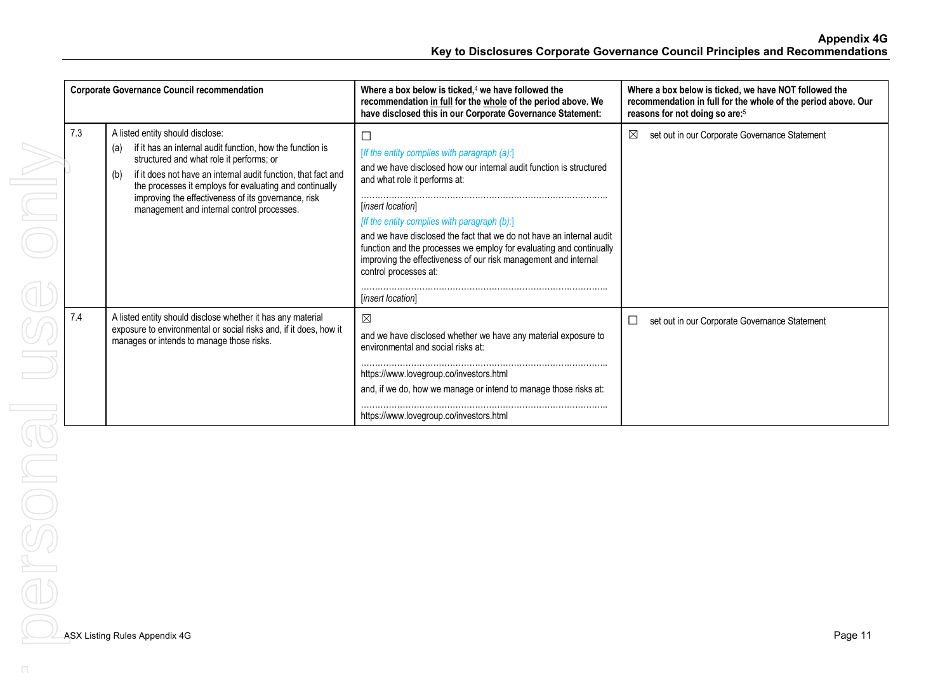| <b>Corporate Governance Council recommendation</b> |                                                                                                                                                                                                                                                                                                                                                                                          | Where a box below is ticked, $4$ we have followed the<br>recommendation in full for the whole of the period above. We<br>have disclosed this in our Corporate Governance Statement:                                                                                                                                                                                                                                                                                                                 | Where a box below is ticked, we have NOT followed the<br>recommendation in full for the whole of the period above. Our<br>reasons for not doing so are: <sup>5</sup> |
|----------------------------------------------------|------------------------------------------------------------------------------------------------------------------------------------------------------------------------------------------------------------------------------------------------------------------------------------------------------------------------------------------------------------------------------------------|-----------------------------------------------------------------------------------------------------------------------------------------------------------------------------------------------------------------------------------------------------------------------------------------------------------------------------------------------------------------------------------------------------------------------------------------------------------------------------------------------------|----------------------------------------------------------------------------------------------------------------------------------------------------------------------|
| 7.3                                                | A listed entity should disclose:<br>if it has an internal audit function, how the function is<br>(a)<br>structured and what role it performs; or<br>if it does not have an internal audit function, that fact and<br>(b)<br>the processes it employs for evaluating and continually<br>improving the effectiveness of its governance, risk<br>management and internal control processes. | $\Box$<br>[If the entity complies with paragraph (a):]<br>and we have disclosed how our internal audit function is structured<br>and what role it performs at:<br>[insert location]<br>[If the entity complies with paragraph (b):]<br>and we have disclosed the fact that we do not have an internal audit<br>function and the processes we employ for evaluating and continually<br>improving the effectiveness of our risk management and internal<br>control processes at:<br>[insert location] | $\boxtimes$<br>set out in our Corporate Governance Statement                                                                                                         |
| 7.4                                                | A listed entity should disclose whether it has any material<br>exposure to environmental or social risks and, if it does, how it<br>manages or intends to manage those risks.                                                                                                                                                                                                            | ⊠<br>and we have disclosed whether we have any material exposure to<br>environmental and social risks at:<br>https://www.lovegroup.co/investors.html<br>and, if we do, how we manage or intend to manage those risks at:<br>https://www.lovegroup.co/investors.html                                                                                                                                                                                                                                 | set out in our Corporate Governance Statement<br>ப                                                                                                                   |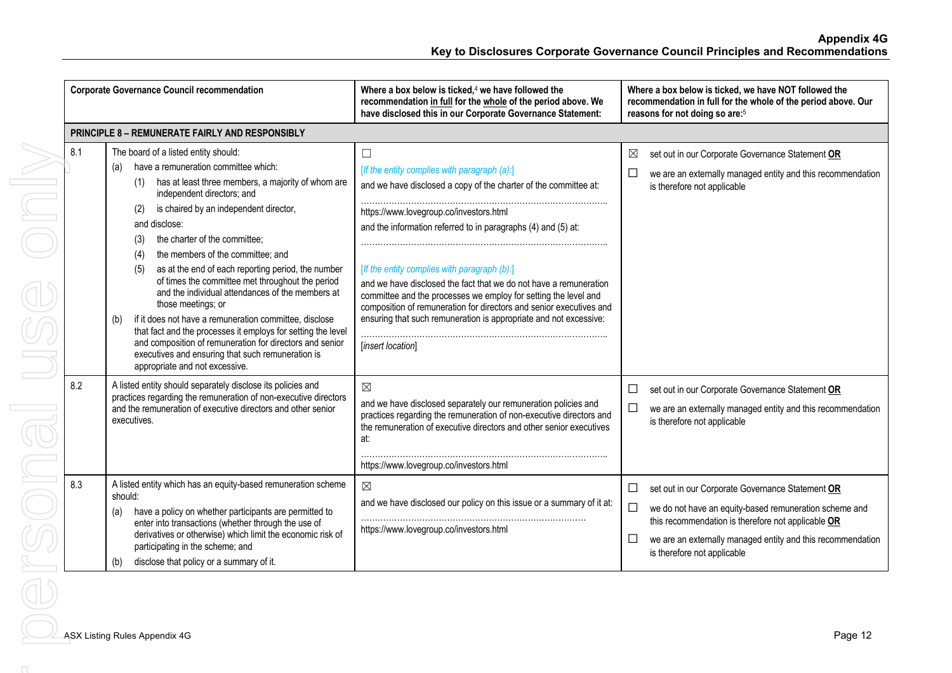|            | <b>Corporate Governance Council recommendation</b>                                                                                                                                                                                                                                                                                                                                                                                                                                                                                                                                                                                                                                                                                                                                | Where a box below is ticked, $4$ we have followed the<br>recommendation in full for the whole of the period above. We<br>have disclosed this in our Corporate Governance Statement:                                                                                                                                                                                                                                                                                                                                                                                                             | Where a box below is ticked, we have NOT followed the<br>recommendation in full for the whole of the period above. Our<br>reasons for not doing so are: <sup>5</sup>                                                        |
|------------|-----------------------------------------------------------------------------------------------------------------------------------------------------------------------------------------------------------------------------------------------------------------------------------------------------------------------------------------------------------------------------------------------------------------------------------------------------------------------------------------------------------------------------------------------------------------------------------------------------------------------------------------------------------------------------------------------------------------------------------------------------------------------------------|-------------------------------------------------------------------------------------------------------------------------------------------------------------------------------------------------------------------------------------------------------------------------------------------------------------------------------------------------------------------------------------------------------------------------------------------------------------------------------------------------------------------------------------------------------------------------------------------------|-----------------------------------------------------------------------------------------------------------------------------------------------------------------------------------------------------------------------------|
|            | <b>PRINCIPLE 8 - REMUNERATE FAIRLY AND RESPONSIBLY</b>                                                                                                                                                                                                                                                                                                                                                                                                                                                                                                                                                                                                                                                                                                                            |                                                                                                                                                                                                                                                                                                                                                                                                                                                                                                                                                                                                 |                                                                                                                                                                                                                             |
| 8.1        | The board of a listed entity should:<br>have a remuneration committee which:<br>(a)<br>has at least three members, a majority of whom are<br>(1)<br>independent directors; and<br>is chaired by an independent director,<br>(2)<br>and disclose:<br>the charter of the committee:<br>(3)<br>the members of the committee; and<br>(4)<br>as at the end of each reporting period, the number<br>(5)<br>of times the committee met throughout the period<br>and the individual attendances of the members at<br>those meetings; or<br>if it does not have a remuneration committee, disclose<br>(b)<br>that fact and the processes it employs for setting the level<br>and composition of remuneration for directors and senior<br>executives and ensuring that such remuneration is | $\Box$<br>[If the entity complies with paragraph (a):]<br>and we have disclosed a copy of the charter of the committee at:<br>https://www.lovegroup.co/investors.html<br>and the information referred to in paragraphs (4) and (5) at:<br>[If the entity complies with paragraph (b):]<br>and we have disclosed the fact that we do not have a remuneration<br>committee and the processes we employ for setting the level and<br>composition of remuneration for directors and senior executives and<br>ensuring that such remuneration is appropriate and not excessive:<br>[insert location] | set out in our Corporate Governance Statement OR<br>⊠<br>we are an externally managed entity and this recommendation<br>ப<br>is therefore not applicable                                                                    |
| 8.2<br>8.3 | appropriate and not excessive.<br>A listed entity should separately disclose its policies and<br>practices regarding the remuneration of non-executive directors<br>and the remuneration of executive directors and other senior<br>executives.<br>A listed entity which has an equity-based remuneration scheme                                                                                                                                                                                                                                                                                                                                                                                                                                                                  | $\boxtimes$<br>and we have disclosed separately our remuneration policies and<br>practices regarding the remuneration of non-executive directors and<br>the remuneration of executive directors and other senior executives<br>at:<br>https://www.lovegroup.co/investors.html<br>$\boxtimes$                                                                                                                                                                                                                                                                                                    | set out in our Corporate Governance Statement OR<br>$\Box$<br>we are an externally managed entity and this recommendation<br>ப<br>is therefore not applicable<br>set out in our Corporate Governance Statement OR<br>$\Box$ |
|            | should:<br>have a policy on whether participants are permitted to<br>(a)<br>enter into transactions (whether through the use of<br>derivatives or otherwise) which limit the economic risk of<br>participating in the scheme; and<br>disclose that policy or a summary of it.<br>(b)                                                                                                                                                                                                                                                                                                                                                                                                                                                                                              | and we have disclosed our policy on this issue or a summary of it at:<br>https://www.lovegroup.co/investors.html                                                                                                                                                                                                                                                                                                                                                                                                                                                                                | $\Box$<br>we do not have an equity-based remuneration scheme and<br>this recommendation is therefore not applicable OR<br>we are an externally managed entity and this recommendation<br>⊔<br>is therefore not applicable   |
|            | ASX Listing Rules Appendix 4G                                                                                                                                                                                                                                                                                                                                                                                                                                                                                                                                                                                                                                                                                                                                                     |                                                                                                                                                                                                                                                                                                                                                                                                                                                                                                                                                                                                 | Page 12                                                                                                                                                                                                                     |
|            |                                                                                                                                                                                                                                                                                                                                                                                                                                                                                                                                                                                                                                                                                                                                                                                   |                                                                                                                                                                                                                                                                                                                                                                                                                                                                                                                                                                                                 |                                                                                                                                                                                                                             |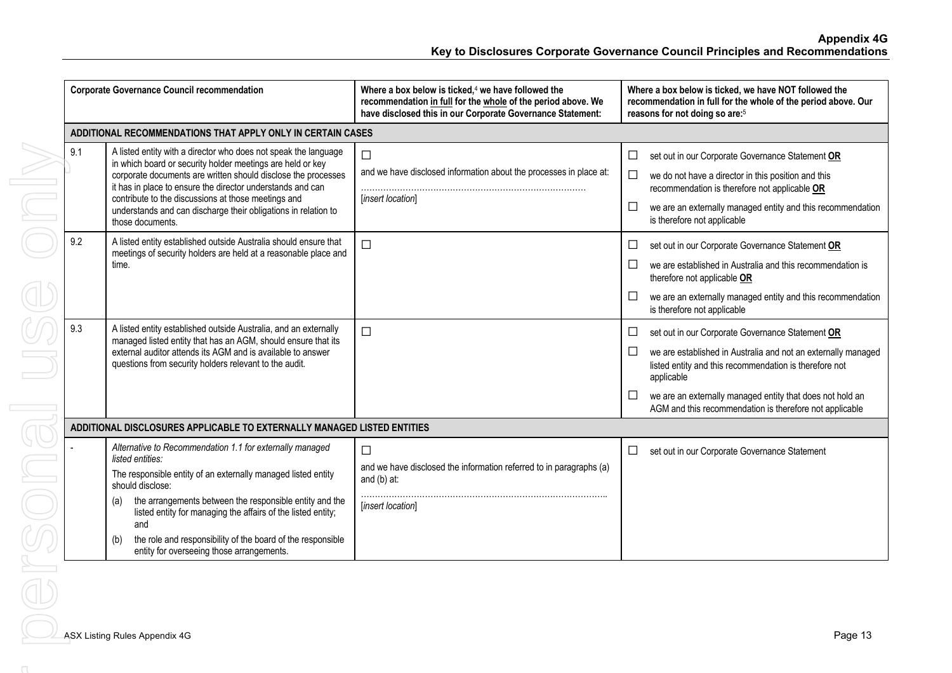| <b>Corporate Governance Council recommendation</b>          |                                                                                                                                                                                                                                                                                                                                                                                                                               | Where a box below is ticked, $4$ we have followed the<br>recommendation in full for the whole of the period above. We<br>have disclosed this in our Corporate Governance Statement: | Where a box below is ticked, we have NOT followed the<br>recommendation in full for the whole of the period above. Our<br>reasons for not doing so are: <sup>5</sup>                                                                                                                                                             |  |  |  |  |  |  |
|-------------------------------------------------------------|-------------------------------------------------------------------------------------------------------------------------------------------------------------------------------------------------------------------------------------------------------------------------------------------------------------------------------------------------------------------------------------------------------------------------------|-------------------------------------------------------------------------------------------------------------------------------------------------------------------------------------|----------------------------------------------------------------------------------------------------------------------------------------------------------------------------------------------------------------------------------------------------------------------------------------------------------------------------------|--|--|--|--|--|--|
| ADDITIONAL RECOMMENDATIONS THAT APPLY ONLY IN CERTAIN CASES |                                                                                                                                                                                                                                                                                                                                                                                                                               |                                                                                                                                                                                     |                                                                                                                                                                                                                                                                                                                                  |  |  |  |  |  |  |
| 9.1                                                         | A listed entity with a director who does not speak the language<br>in which board or security holder meetings are held or key<br>corporate documents are written should disclose the processes<br>it has in place to ensure the director understands and can<br>contribute to the discussions at those meetings and<br>understands and can discharge their obligations in relation to<br>those documents.                     | $\Box$<br>and we have disclosed information about the processes in place at:<br>[insert location]                                                                                   | set out in our Corporate Governance Statement OR<br>$\Box$<br>we do not have a director in this position and this<br>$\Box$<br>recommendation is therefore not applicable OR<br>we are an externally managed entity and this recommendation<br>⊔<br>is therefore not applicable                                                  |  |  |  |  |  |  |
| 9.2                                                         | A listed entity established outside Australia should ensure that<br>meetings of security holders are held at a reasonable place and<br>time.                                                                                                                                                                                                                                                                                  | $\Box$                                                                                                                                                                              | set out in our Corporate Governance Statement OR<br>⊔<br>we are established in Australia and this recommendation is<br>ப<br>therefore not applicable OR<br>we are an externally managed entity and this recommendation<br>⊔<br>is therefore not applicable                                                                       |  |  |  |  |  |  |
| 9.3                                                         | A listed entity established outside Australia, and an externally<br>managed listed entity that has an AGM, should ensure that its<br>external auditor attends its AGM and is available to answer<br>questions from security holders relevant to the audit.                                                                                                                                                                    | $\Box$                                                                                                                                                                              | set out in our Corporate Governance Statement OR<br>⊔<br>we are established in Australia and not an externally managed<br>⊔<br>listed entity and this recommendation is therefore not<br>applicable<br>we are an externally managed entity that does not hold an<br>ப<br>AGM and this recommendation is therefore not applicable |  |  |  |  |  |  |
|                                                             | ADDITIONAL DISCLOSURES APPLICABLE TO EXTERNALLY MANAGED LISTED ENTITIES                                                                                                                                                                                                                                                                                                                                                       |                                                                                                                                                                                     |                                                                                                                                                                                                                                                                                                                                  |  |  |  |  |  |  |
|                                                             | Alternative to Recommendation 1.1 for externally managed<br>listed entities:<br>The responsible entity of an externally managed listed entity<br>should disclose:<br>the arrangements between the responsible entity and the<br>(a)<br>listed entity for managing the affairs of the listed entity;<br>and<br>the role and responsibility of the board of the responsible<br>(b)<br>entity for overseeing those arrangements. | $\Box$<br>and we have disclosed the information referred to in paragraphs (a)<br>and (b) at:<br>[insert location]                                                                   | set out in our Corporate Governance Statement<br>$\Box$                                                                                                                                                                                                                                                                          |  |  |  |  |  |  |
|                                                             | <b>ASX Listing Rules Appendix 4G</b>                                                                                                                                                                                                                                                                                                                                                                                          |                                                                                                                                                                                     | Page 13                                                                                                                                                                                                                                                                                                                          |  |  |  |  |  |  |
|                                                             |                                                                                                                                                                                                                                                                                                                                                                                                                               |                                                                                                                                                                                     |                                                                                                                                                                                                                                                                                                                                  |  |  |  |  |  |  |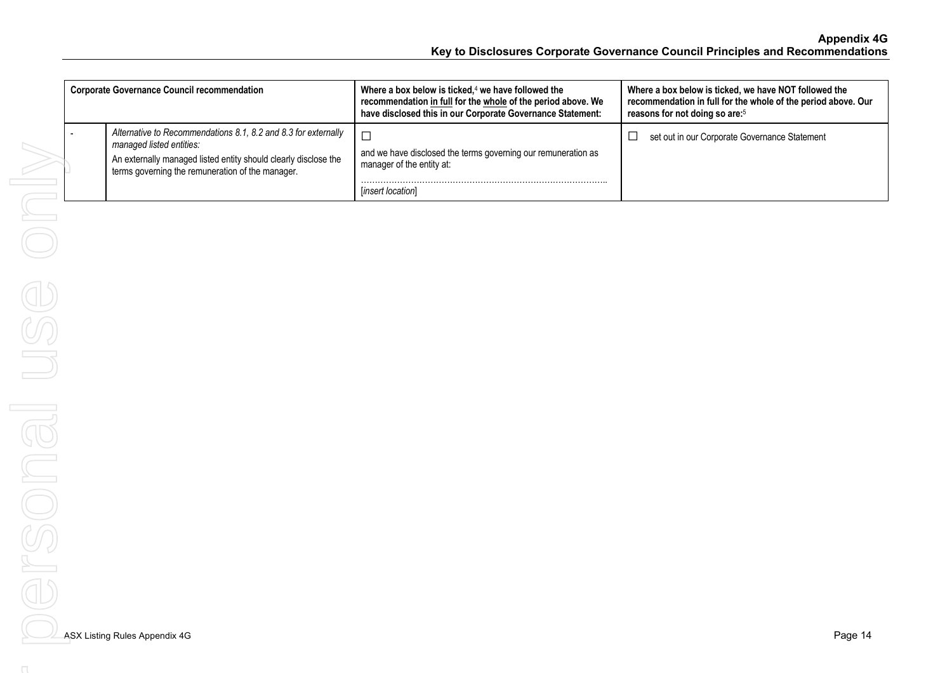| <b>Corporate Governance Council recommendation</b>                                                                                                                                                                | Where a box below is ticked, $4$ we have followed the<br>recommendation in full for the whole of the period above. We<br>have disclosed this in our Corporate Governance Statement: | Where a box below is ticked, we have NOT followed the<br>recommendation in full for the whole of the period above. Our<br>reasons for not doing so are: <sup>5</sup> |
|-------------------------------------------------------------------------------------------------------------------------------------------------------------------------------------------------------------------|-------------------------------------------------------------------------------------------------------------------------------------------------------------------------------------|----------------------------------------------------------------------------------------------------------------------------------------------------------------------|
| Alternative to Recommendations 8.1, 8.2 and 8.3 for externally<br>managed listed entities:<br>An externally managed listed entity should clearly disclose the<br>terms governing the remuneration of the manager. | $\Box$<br>and we have disclosed the terms governing our remuneration as<br>manager of the entity at:<br>[insert location]                                                           | set out in our Corporate Governance Statement<br>$\mathcal{L}_{\mathcal{A}}$                                                                                         |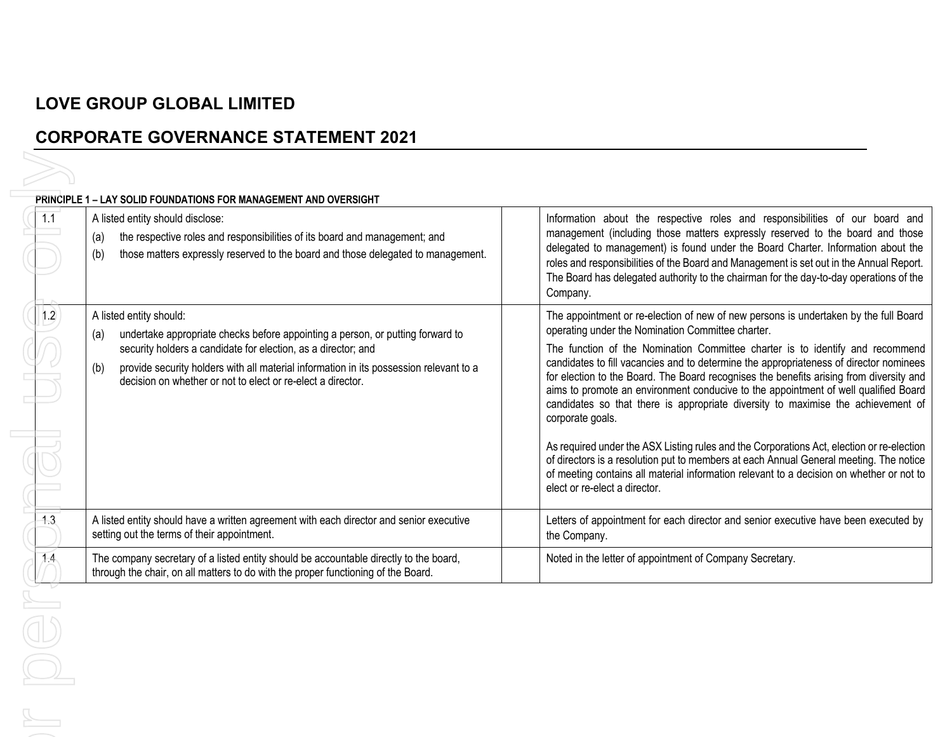# **LOVE GROUP GLOBAL LIMITED**

## **CORPORATE GOVERNANCE STATEMENT 2021**

|  |  | PRINCIPLE 1 – LAY SOLID FOUNDATIONS FOR MANAGEMENT AND OVERSIGHT |  |
|--|--|------------------------------------------------------------------|--|
|  |  |                                                                  |  |

| 1.1 | <b>PRINCIPLE 1 - LAY SOLID FOUNDATIONS FOR MANAGEMENT AND OVERSIGHT</b><br>A listed entity should disclose:<br>the respective roles and responsibilities of its board and management; and<br>(a)<br>those matters expressly reserved to the board and those delegated to management.<br>(b)                                                       | Information about the respective roles and responsibilities of our board and<br>management (including those matters expressly reserved to the board and those<br>delegated to management) is found under the Board Charter. Information about the<br>roles and responsibilities of the Board and Management is set out in the Annual Report.<br>The Board has delegated authority to the chairman for the day-to-day operations of the<br>Company.                                                                                                                                                                                                                                                                                                                                                                                                                                                                                 |
|-----|---------------------------------------------------------------------------------------------------------------------------------------------------------------------------------------------------------------------------------------------------------------------------------------------------------------------------------------------------|------------------------------------------------------------------------------------------------------------------------------------------------------------------------------------------------------------------------------------------------------------------------------------------------------------------------------------------------------------------------------------------------------------------------------------------------------------------------------------------------------------------------------------------------------------------------------------------------------------------------------------------------------------------------------------------------------------------------------------------------------------------------------------------------------------------------------------------------------------------------------------------------------------------------------------|
| 1.2 | A listed entity should:<br>undertake appropriate checks before appointing a person, or putting forward to<br>(a)<br>security holders a candidate for election, as a director; and<br>provide security holders with all material information in its possession relevant to a<br>(b)<br>decision on whether or not to elect or re-elect a director. | The appointment or re-election of new of new persons is undertaken by the full Board<br>operating under the Nomination Committee charter.<br>The function of the Nomination Committee charter is to identify and recommend<br>candidates to fill vacancies and to determine the appropriateness of director nominees<br>for election to the Board. The Board recognises the benefits arising from diversity and<br>aims to promote an environment conducive to the appointment of well qualified Board<br>candidates so that there is appropriate diversity to maximise the achievement of<br>corporate goals.<br>As required under the ASX Listing rules and the Corporations Act, election or re-election<br>of directors is a resolution put to members at each Annual General meeting. The notice<br>of meeting contains all material information relevant to a decision on whether or not to<br>elect or re-elect a director. |
| 1.3 | A listed entity should have a written agreement with each director and senior executive<br>setting out the terms of their appointment.                                                                                                                                                                                                            | Letters of appointment for each director and senior executive have been executed by<br>the Company.                                                                                                                                                                                                                                                                                                                                                                                                                                                                                                                                                                                                                                                                                                                                                                                                                                |
| 74  | The company secretary of a listed entity should be accountable directly to the board,<br>through the chair, on all matters to do with the proper functioning of the Board.                                                                                                                                                                        | Noted in the letter of appointment of Company Secretary.                                                                                                                                                                                                                                                                                                                                                                                                                                                                                                                                                                                                                                                                                                                                                                                                                                                                           |
|     |                                                                                                                                                                                                                                                                                                                                                   |                                                                                                                                                                                                                                                                                                                                                                                                                                                                                                                                                                                                                                                                                                                                                                                                                                                                                                                                    |
|     |                                                                                                                                                                                                                                                                                                                                                   |                                                                                                                                                                                                                                                                                                                                                                                                                                                                                                                                                                                                                                                                                                                                                                                                                                                                                                                                    |
|     |                                                                                                                                                                                                                                                                                                                                                   |                                                                                                                                                                                                                                                                                                                                                                                                                                                                                                                                                                                                                                                                                                                                                                                                                                                                                                                                    |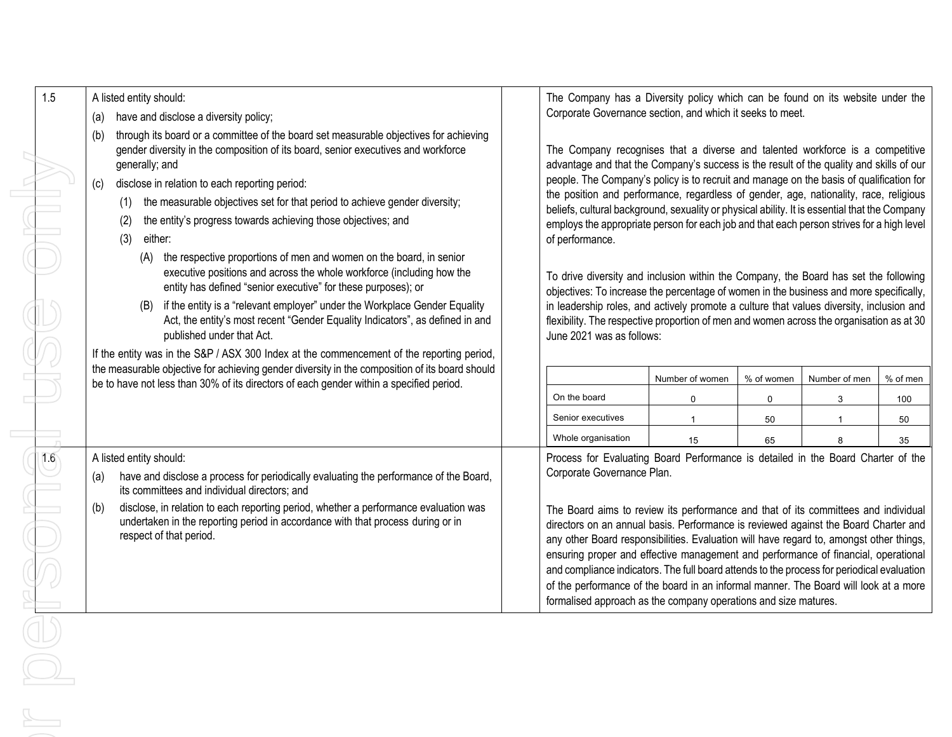| 1.5                            |                                                                                                                                                                                           |                                                                                                                                                                                |                 |             |               |          |
|--------------------------------|-------------------------------------------------------------------------------------------------------------------------------------------------------------------------------------------|--------------------------------------------------------------------------------------------------------------------------------------------------------------------------------|-----------------|-------------|---------------|----------|
| A listed entity should:        |                                                                                                                                                                                           | The Company has a Diversity policy which can be found on its website under the<br>Corporate Governance section, and which it seeks to meet.                                    |                 |             |               |          |
| (a)                            | have and disclose a diversity policy;                                                                                                                                                     |                                                                                                                                                                                |                 |             |               |          |
| (b)                            | through its board or a committee of the board set measurable objectives for achieving<br>gender diversity in the composition of its board, senior executives and workforce                | The Company recognises that a diverse and talented workforce is a competitive                                                                                                  |                 |             |               |          |
| generally; and                 |                                                                                                                                                                                           | advantage and that the Company's success is the result of the quality and skills of our                                                                                        |                 |             |               |          |
| (c)                            | disclose in relation to each reporting period:                                                                                                                                            | people. The Company's policy is to recruit and manage on the basis of qualification for                                                                                        |                 |             |               |          |
| (1)                            | the measurable objectives set for that period to achieve gender diversity;                                                                                                                | the position and performance, regardless of gender, age, nationality, race, religious                                                                                          |                 |             |               |          |
| (2)                            | the entity's progress towards achieving those objectives; and                                                                                                                             | beliefs, cultural background, sexuality or physical ability. It is essential that the Company                                                                                  |                 |             |               |          |
| (3)<br>either:                 |                                                                                                                                                                                           | employs the appropriate person for each job and that each person strives for a high level<br>of performance.                                                                   |                 |             |               |          |
|                                | (A) the respective proportions of men and women on the board, in senior                                                                                                                   |                                                                                                                                                                                |                 |             |               |          |
|                                | executive positions and across the whole workforce (including how the                                                                                                                     | To drive diversity and inclusion within the Company, the Board has set the following                                                                                           |                 |             |               |          |
|                                | entity has defined "senior executive" for these purposes); or                                                                                                                             | objectives: To increase the percentage of women in the business and more specifically,                                                                                         |                 |             |               |          |
| (B)                            | if the entity is a "relevant employer" under the Workplace Gender Equality                                                                                                                | in leadership roles, and actively promote a culture that values diversity, inclusion and                                                                                       |                 |             |               |          |
|                                | Act, the entity's most recent "Gender Equality Indicators", as defined in and                                                                                                             | flexibility. The respective proportion of men and women across the organisation as at 30                                                                                       |                 |             |               |          |
|                                | published under that Act.                                                                                                                                                                 | June 2021 was as follows:                                                                                                                                                      |                 |             |               |          |
|                                | If the entity was in the S&P / ASX 300 Index at the commencement of the reporting period,                                                                                                 |                                                                                                                                                                                |                 |             |               |          |
|                                | the measurable objective for achieving gender diversity in the composition of its board should<br>be to have not less than 30% of its directors of each gender within a specified period. |                                                                                                                                                                                | Number of women | % of women  | Number of men | % of men |
|                                |                                                                                                                                                                                           | On the board                                                                                                                                                                   | 0               | $\mathbf 0$ | 3             | 100      |
|                                |                                                                                                                                                                                           | Senior executives                                                                                                                                                              | $\mathbf{1}$    | 50          |               | 50       |
|                                |                                                                                                                                                                                           | Whole organisation                                                                                                                                                             | 15              | 65          | 8             | 35       |
| 1.6<br>A listed entity should: |                                                                                                                                                                                           | Process for Evaluating Board Performance is detailed in the Board Charter of the                                                                                               |                 |             |               |          |
| (a)                            | have and disclose a process for periodically evaluating the performance of the Board,                                                                                                     | Corporate Governance Plan.                                                                                                                                                     |                 |             |               |          |
|                                | its committees and individual directors; and                                                                                                                                              |                                                                                                                                                                                |                 |             |               |          |
| (b)                            | disclose, in relation to each reporting period, whether a performance evaluation was<br>undertaken in the reporting period in accordance with that process during or in                   | The Board aims to review its performance and that of its committees and individual                                                                                             |                 |             |               |          |
| respect of that period.        |                                                                                                                                                                                           | directors on an annual basis. Performance is reviewed against the Board Charter and<br>any other Board responsibilities. Evaluation will have regard to, amongst other things, |                 |             |               |          |
|                                |                                                                                                                                                                                           | ensuring proper and effective management and performance of financial, operational                                                                                             |                 |             |               |          |
|                                |                                                                                                                                                                                           | and compliance indicators. The full board attends to the process for periodical evaluation                                                                                     |                 |             |               |          |
|                                |                                                                                                                                                                                           | of the performance of the board in an informal manner. The Board will look at a more                                                                                           |                 |             |               |          |
|                                |                                                                                                                                                                                           | formalised approach as the company operations and size matures.                                                                                                                |                 |             |               |          |
|                                |                                                                                                                                                                                           |                                                                                                                                                                                |                 |             |               |          |
| $\bigcirc$                     |                                                                                                                                                                                           |                                                                                                                                                                                |                 |             |               |          |
| $\bigcirc$                     |                                                                                                                                                                                           |                                                                                                                                                                                |                 |             |               |          |
|                                |                                                                                                                                                                                           |                                                                                                                                                                                |                 |             |               |          |
|                                |                                                                                                                                                                                           |                                                                                                                                                                                |                 |             |               |          |
|                                |                                                                                                                                                                                           |                                                                                                                                                                                |                 |             |               |          |
|                                |                                                                                                                                                                                           |                                                                                                                                                                                |                 |             |               |          |
|                                |                                                                                                                                                                                           |                                                                                                                                                                                |                 |             |               |          |
|                                |                                                                                                                                                                                           |                                                                                                                                                                                |                 |             |               |          |
|                                |                                                                                                                                                                                           |                                                                                                                                                                                |                 |             |               |          |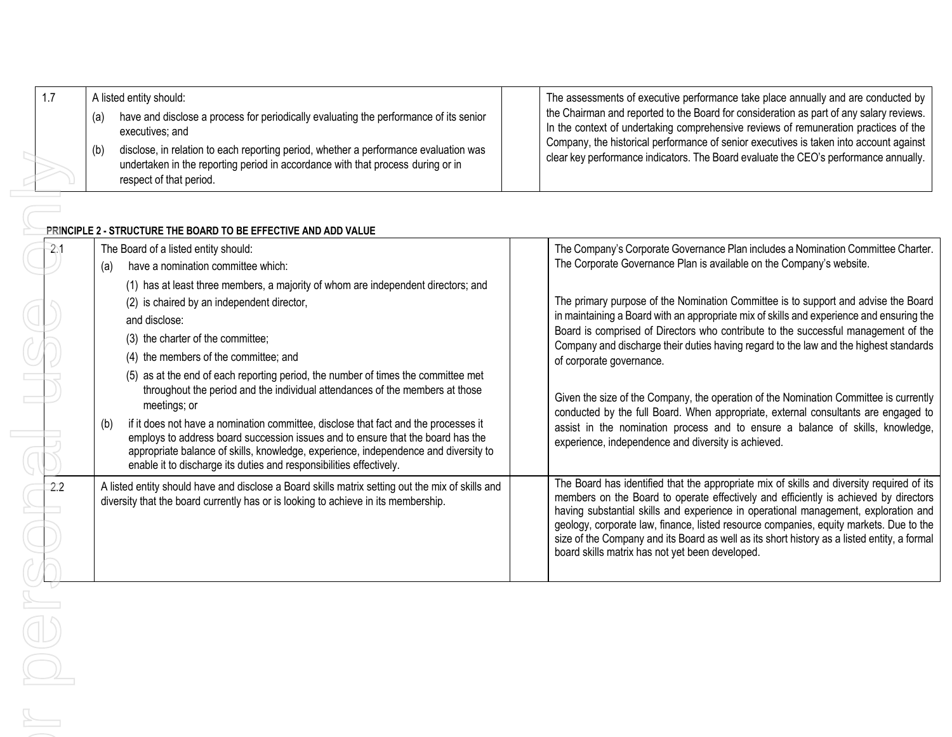|  | A listed entity should:                                                                                                                                                                                                                                                                                                    | The assessments of executive performance take place annually and are conducted by                                                                                                                                                                                                                                                                                 |
|--|----------------------------------------------------------------------------------------------------------------------------------------------------------------------------------------------------------------------------------------------------------------------------------------------------------------------------|-------------------------------------------------------------------------------------------------------------------------------------------------------------------------------------------------------------------------------------------------------------------------------------------------------------------------------------------------------------------|
|  | have and disclose a process for periodically evaluating the performance of its senior<br>(a<br>executives; and<br>disclose, in relation to each reporting period, whether a performance evaluation was<br>(b<br>undertaken in the reporting period in accordance with that process during or in<br>respect of that period. | the Chairman and reported to the Board for consideration as part of any salary reviews.<br>In the context of undertaking comprehensive reviews of remuneration practices of the<br>Company, the historical performance of senior executives is taken into account against<br>clear key performance indicators. The Board evaluate the CEO's performance annually. |

## **PRINCIPLE 2 - STRUCTURE THE BOARD TO BE EFFECTIVE AND ADD VALUE**

|        | undertaken in the reporting period in accordance with that process during or in<br>respect of that period.                                                                                                                                                                                                                                                                                                                                  | clear key performance indicators. The Board evaluate the CEO's performance annually.                                                                                                                                                                                                                                                                                                                                                                                                                                 |
|--------|---------------------------------------------------------------------------------------------------------------------------------------------------------------------------------------------------------------------------------------------------------------------------------------------------------------------------------------------------------------------------------------------------------------------------------------------|----------------------------------------------------------------------------------------------------------------------------------------------------------------------------------------------------------------------------------------------------------------------------------------------------------------------------------------------------------------------------------------------------------------------------------------------------------------------------------------------------------------------|
|        | PRINCIPLE 2 - STRUCTURE THE BOARD TO BE EFFECTIVE AND ADD VALUE                                                                                                                                                                                                                                                                                                                                                                             |                                                                                                                                                                                                                                                                                                                                                                                                                                                                                                                      |
| $-2.1$ | The Board of a listed entity should:<br>have a nomination committee which:<br>(a)<br>(1) has at least three members, a majority of whom are independent directors; and                                                                                                                                                                                                                                                                      | The Company's Corporate Governance Plan includes a Nomination Committee Charter.<br>The Corporate Governance Plan is available on the Company's website.                                                                                                                                                                                                                                                                                                                                                             |
|        | (2) is chaired by an independent director,<br>and disclose:<br>(3) the charter of the committee;<br>(4) the members of the committee; and<br>(5) as at the end of each reporting period, the number of times the committee met                                                                                                                                                                                                              | The primary purpose of the Nomination Committee is to support and advise the Board<br>in maintaining a Board with an appropriate mix of skills and experience and ensuring the<br>Board is comprised of Directors who contribute to the successful management of the<br>Company and discharge their duties having regard to the law and the highest standards<br>of corporate governance.                                                                                                                            |
|        | throughout the period and the individual attendances of the members at those<br>meetings; or<br>if it does not have a nomination committee, disclose that fact and the processes it<br>(b)<br>employs to address board succession issues and to ensure that the board has the<br>appropriate balance of skills, knowledge, experience, independence and diversity to<br>enable it to discharge its duties and responsibilities effectively. | Given the size of the Company, the operation of the Nomination Committee is currently<br>conducted by the full Board. When appropriate, external consultants are engaged to<br>assist in the nomination process and to ensure a balance of skills, knowledge,<br>experience, independence and diversity is achieved.                                                                                                                                                                                                 |
| 2.2    | A listed entity should have and disclose a Board skills matrix setting out the mix of skills and<br>diversity that the board currently has or is looking to achieve in its membership.                                                                                                                                                                                                                                                      | The Board has identified that the appropriate mix of skills and diversity required of its<br>members on the Board to operate effectively and efficiently is achieved by directors<br>having substantial skills and experience in operational management, exploration and<br>geology, corporate law, finance, listed resource companies, equity markets. Due to the<br>size of the Company and its Board as well as its short history as a listed entity, a formal<br>board skills matrix has not yet been developed. |
|        |                                                                                                                                                                                                                                                                                                                                                                                                                                             |                                                                                                                                                                                                                                                                                                                                                                                                                                                                                                                      |
|        |                                                                                                                                                                                                                                                                                                                                                                                                                                             |                                                                                                                                                                                                                                                                                                                                                                                                                                                                                                                      |
|        |                                                                                                                                                                                                                                                                                                                                                                                                                                             |                                                                                                                                                                                                                                                                                                                                                                                                                                                                                                                      |
|        |                                                                                                                                                                                                                                                                                                                                                                                                                                             |                                                                                                                                                                                                                                                                                                                                                                                                                                                                                                                      |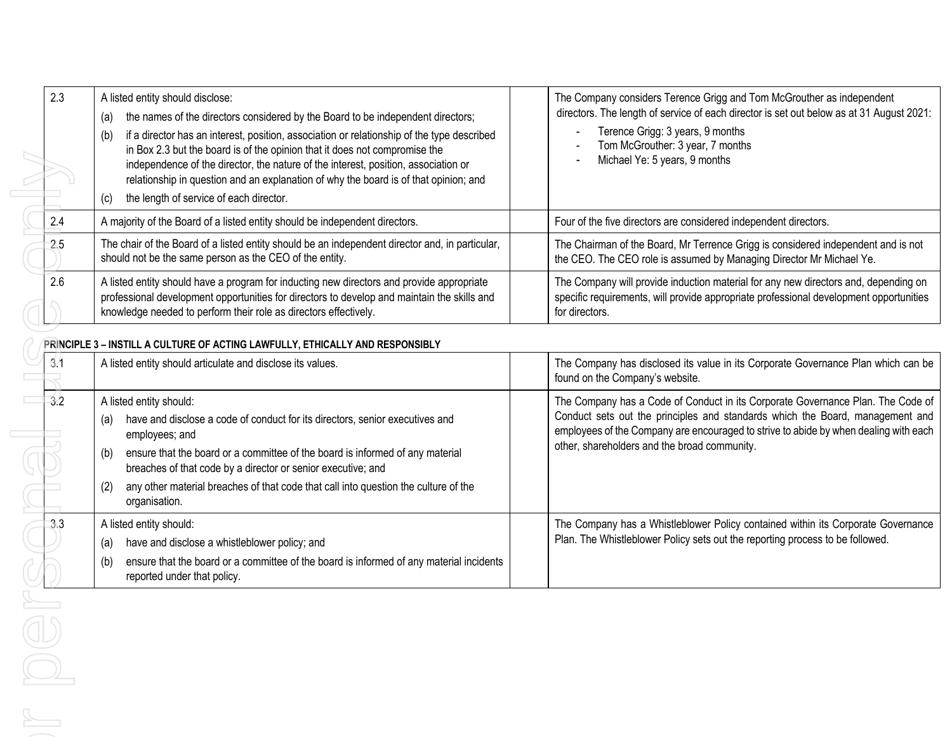| 2.3 | A listed entity should disclose:<br>the names of the directors considered by the Board to be independent directors;<br>(a)                                                                                                                                                                                                                                                                              | The Company considers Terence Grigg and Tom McGrouther as independent<br>directors. The length of service of each director is set out below as at 31 August 2021:                                                                                                                                        |
|-----|---------------------------------------------------------------------------------------------------------------------------------------------------------------------------------------------------------------------------------------------------------------------------------------------------------------------------------------------------------------------------------------------------------|----------------------------------------------------------------------------------------------------------------------------------------------------------------------------------------------------------------------------------------------------------------------------------------------------------|
|     | if a director has an interest, position, association or relationship of the type described<br>(b)<br>in Box 2.3 but the board is of the opinion that it does not compromise the<br>independence of the director, the nature of the interest, position, association or<br>relationship in question and an explanation of why the board is of that opinion; and                                           | Terence Grigg: 3 years, 9 months<br>Tom McGrouther: 3 year, 7 months<br>Michael Ye: 5 years, 9 months                                                                                                                                                                                                    |
| 2.4 | the length of service of each director.<br>(c)<br>A majority of the Board of a listed entity should be independent directors.                                                                                                                                                                                                                                                                           | Four of the five directors are considered independent directors.                                                                                                                                                                                                                                         |
| 2.5 | The chair of the Board of a listed entity should be an independent director and, in particular,<br>should not be the same person as the CEO of the entity.                                                                                                                                                                                                                                              | The Chairman of the Board, Mr Terrence Grigg is considered independent and is not<br>the CEO. The CEO role is assumed by Managing Director Mr Michael Ye.                                                                                                                                                |
| 2.6 | A listed entity should have a program for inducting new directors and provide appropriate<br>professional development opportunities for directors to develop and maintain the skills and<br>knowledge needed to perform their role as directors effectively.                                                                                                                                            | The Company will provide induction material for any new directors and, depending on<br>specific requirements, will provide appropriate professional development opportunities<br>for directors.                                                                                                          |
|     | PRINCIPLE 3 - INSTILL A CULTURE OF ACTING LAWFULLY, ETHICALLY AND RESPONSIBLY                                                                                                                                                                                                                                                                                                                           |                                                                                                                                                                                                                                                                                                          |
| 3.1 | A listed entity should articulate and disclose its values.                                                                                                                                                                                                                                                                                                                                              | The Company has disclosed its value in its Corporate Governance Plan which can be<br>found on the Company's website.                                                                                                                                                                                     |
| 3.2 | A listed entity should:<br>have and disclose a code of conduct for its directors, senior executives and<br>(a)<br>employees; and<br>ensure that the board or a committee of the board is informed of any material<br>(b)<br>breaches of that code by a director or senior executive; and<br>any other material breaches of that code that call into question the culture of the<br>(2)<br>organisation. | The Company has a Code of Conduct in its Corporate Governance Plan. The Code of<br>Conduct sets out the principles and standards which the Board, management and<br>employees of the Company are encouraged to strive to abide by when dealing with each<br>other, shareholders and the broad community. |
| 3.3 | A listed entity should:<br>have and disclose a whistleblower policy; and<br>(a)<br>ensure that the board or a committee of the board is informed of any material incidents<br>(b)<br>reported under that policy.                                                                                                                                                                                        | The Company has a Whistleblower Policy contained within its Corporate Governance<br>Plan. The Whistleblower Policy sets out the reporting process to be followed.                                                                                                                                        |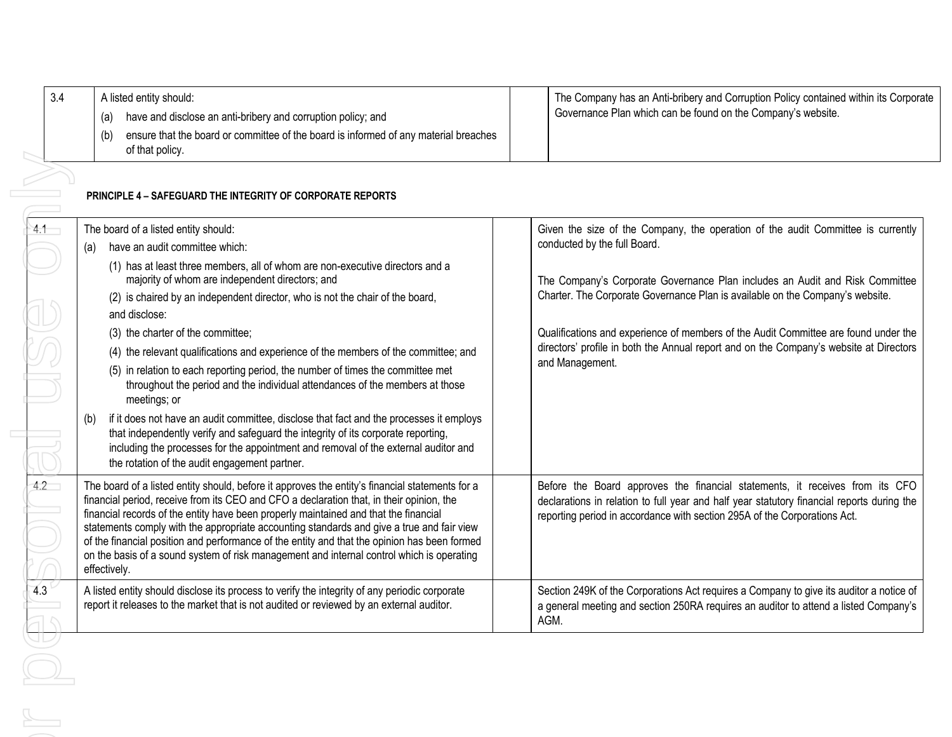|             | A listed entity should:                                                                                                                                                                                                                                                                                                                                                                                                                                                                                                                                                                       | The Company has an Anti-bribery and Corruption Policy contained within its Corporate |                                                                                                                                                                                                                                                         |
|-------------|-----------------------------------------------------------------------------------------------------------------------------------------------------------------------------------------------------------------------------------------------------------------------------------------------------------------------------------------------------------------------------------------------------------------------------------------------------------------------------------------------------------------------------------------------------------------------------------------------|--------------------------------------------------------------------------------------|---------------------------------------------------------------------------------------------------------------------------------------------------------------------------------------------------------------------------------------------------------|
|             | have and disclose an anti-bribery and corruption policy; and<br>(a)                                                                                                                                                                                                                                                                                                                                                                                                                                                                                                                           |                                                                                      | Governance Plan which can be found on the Company's website.                                                                                                                                                                                            |
|             | ensure that the board or committee of the board is informed of any material breaches<br>(b)<br>of that policy.                                                                                                                                                                                                                                                                                                                                                                                                                                                                                |                                                                                      |                                                                                                                                                                                                                                                         |
|             |                                                                                                                                                                                                                                                                                                                                                                                                                                                                                                                                                                                               |                                                                                      |                                                                                                                                                                                                                                                         |
|             | <b>PRINCIPLE 4 - SAFEGUARD THE INTEGRITY OF CORPORATE REPORTS</b>                                                                                                                                                                                                                                                                                                                                                                                                                                                                                                                             |                                                                                      |                                                                                                                                                                                                                                                         |
| $4.1 -$     | The board of a listed entity should:                                                                                                                                                                                                                                                                                                                                                                                                                                                                                                                                                          |                                                                                      | Given the size of the Company, the operation of the audit Committee is currently                                                                                                                                                                        |
| (a)         | have an audit committee which:                                                                                                                                                                                                                                                                                                                                                                                                                                                                                                                                                                |                                                                                      | conducted by the full Board.                                                                                                                                                                                                                            |
|             | (1) has at least three members, all of whom are non-executive directors and a<br>majority of whom are independent directors; and                                                                                                                                                                                                                                                                                                                                                                                                                                                              |                                                                                      | The Company's Corporate Governance Plan includes an Audit and Risk Committee                                                                                                                                                                            |
|             | (2) is chaired by an independent director, who is not the chair of the board,                                                                                                                                                                                                                                                                                                                                                                                                                                                                                                                 |                                                                                      | Charter. The Corporate Governance Plan is available on the Company's website.                                                                                                                                                                           |
|             | and disclose:                                                                                                                                                                                                                                                                                                                                                                                                                                                                                                                                                                                 |                                                                                      |                                                                                                                                                                                                                                                         |
|             | (3) the charter of the committee;                                                                                                                                                                                                                                                                                                                                                                                                                                                                                                                                                             |                                                                                      | Qualifications and experience of members of the Audit Committee are found under the                                                                                                                                                                     |
|             | (4) the relevant qualifications and experience of the members of the committee; and                                                                                                                                                                                                                                                                                                                                                                                                                                                                                                           |                                                                                      | directors' profile in both the Annual report and on the Company's website at Directors                                                                                                                                                                  |
|             | (5) in relation to each reporting period, the number of times the committee met<br>throughout the period and the individual attendances of the members at those<br>meetings; or                                                                                                                                                                                                                                                                                                                                                                                                               |                                                                                      | and Management.                                                                                                                                                                                                                                         |
|             | if it does not have an audit committee, disclose that fact and the processes it employs<br>that independently verify and safeguard the integrity of its corporate reporting,<br>including the processes for the appointment and removal of the external auditor and<br>the rotation of the audit engagement partner.                                                                                                                                                                                                                                                                          |                                                                                      |                                                                                                                                                                                                                                                         |
|             | The board of a listed entity should, before it approves the entity's financial statements for a<br>financial period, receive from its CEO and CFO a declaration that, in their opinion, the<br>financial records of the entity have been properly maintained and that the financial<br>statements comply with the appropriate accounting standards and give a true and fair view<br>of the financial position and performance of the entity and that the opinion has been formed<br>on the basis of a sound system of risk management and internal control which is operating<br>effectively. |                                                                                      | Before the Board approves the financial statements, it receives from its CFO<br>declarations in relation to full year and half year statutory financial reports during the<br>reporting period in accordance with section 295A of the Corporations Act. |
| $\bigoplus$ | A listed entity should disclose its process to verify the integrity of any periodic corporate<br>report it releases to the market that is not audited or reviewed by an external auditor.                                                                                                                                                                                                                                                                                                                                                                                                     |                                                                                      | Section 249K of the Corporations Act requires a Company to give its auditor a notice of<br>a general meeting and section 250RA requires an auditor to attend a listed Company's<br>AGM.                                                                 |

 $\overline{\phantom{a}}$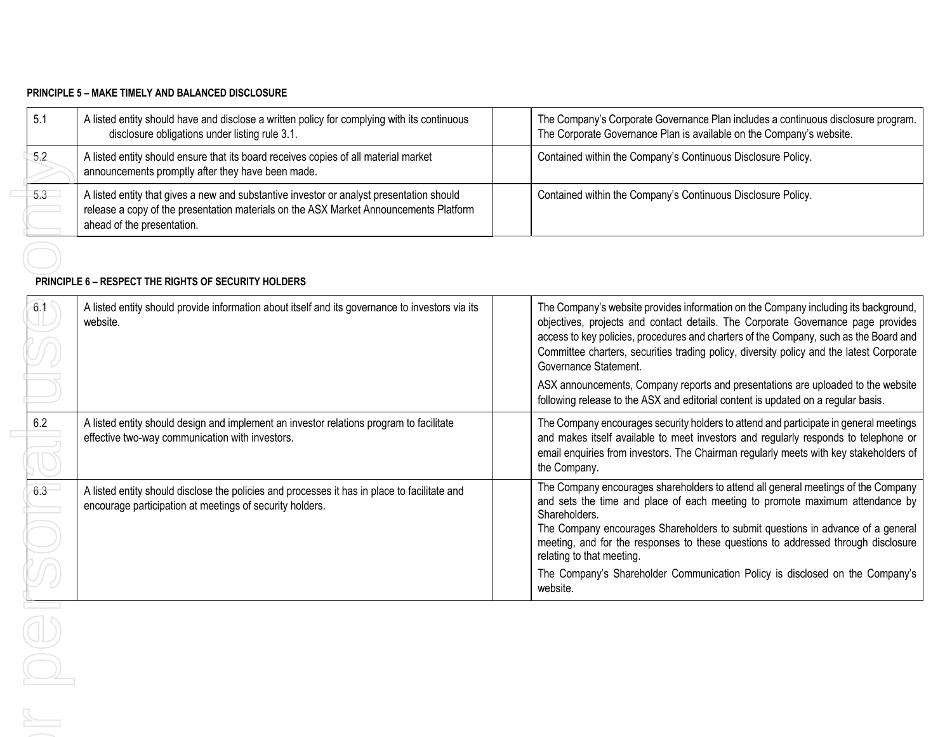#### **PRINCIPLE 5 – MAKE TIMELY AND BALANCED DISCLOSURE**

| 5.7      | A listed entity should have and disclose a written policy for complying with its continuous<br>disclosure obligations under listing rule 3.1.                                                                   | The Company's Corporate Governance Plan includes a continuous disclosure program.<br>The Corporate Governance Plan is available on the Company's website. |
|----------|-----------------------------------------------------------------------------------------------------------------------------------------------------------------------------------------------------------------|-----------------------------------------------------------------------------------------------------------------------------------------------------------|
| $-5.2$   | A listed entity should ensure that its board receives copies of all material market<br>announcements promptly after they have been made.                                                                        | Contained within the Company's Continuous Disclosure Policy.                                                                                              |
| $-5.3 -$ | A listed entity that gives a new and substantive investor or analyst presentation should<br>release a copy of the presentation materials on the ASX Market Announcements Platform<br>ahead of the presentation. | Contained within the Company's Continuous Disclosure Policy.                                                                                              |

#### **PRINCIPLE 6 – RESPECT THE RIGHTS OF SECURITY HOLDERS**

| 5.2     | A listed entity should ensure that its board receives copies of all material market<br>announcements promptly after they have been made.                                                                        | Contained within the Company's Continuous Disclosure Policy.                                                                                                                                                                                                                                                                                                                            |
|---------|-----------------------------------------------------------------------------------------------------------------------------------------------------------------------------------------------------------------|-----------------------------------------------------------------------------------------------------------------------------------------------------------------------------------------------------------------------------------------------------------------------------------------------------------------------------------------------------------------------------------------|
| $5.3 -$ | A listed entity that gives a new and substantive investor or analyst presentation should<br>release a copy of the presentation materials on the ASX Market Announcements Platform<br>ahead of the presentation. | Contained within the Company's Continuous Disclosure Policy.                                                                                                                                                                                                                                                                                                                            |
|         | <b>PRINCIPLE 6 - RESPECT THE RIGHTS OF SECURITY HOLDERS</b>                                                                                                                                                     |                                                                                                                                                                                                                                                                                                                                                                                         |
| 6.1     | A listed entity should provide information about itself and its governance to investors via its<br>website.                                                                                                     | The Company's website provides information on the Company including its background,<br>objectives, projects and contact details. The Corporate Governance page provides<br>access to key policies, procedures and charters of the Company, such as the Board and<br>Committee charters, securities trading policy, diversity policy and the latest Corporate<br>Governance Statement.   |
|         |                                                                                                                                                                                                                 | ASX announcements, Company reports and presentations are uploaded to the website<br>following release to the ASX and editorial content is updated on a regular basis.                                                                                                                                                                                                                   |
| 6.2     | A listed entity should design and implement an investor relations program to facilitate<br>effective two-way communication with investors.                                                                      | The Company encourages security holders to attend and participate in general meetings<br>and makes itself available to meet investors and regularly responds to telephone or<br>email enquiries from investors. The Chairman regularly meets with key stakeholders of<br>the Company.                                                                                                   |
| 6.3     | A listed entity should disclose the policies and processes it has in place to facilitate and<br>encourage participation at meetings of security holders.                                                        | The Company encourages shareholders to attend all general meetings of the Company<br>and sets the time and place of each meeting to promote maximum attendance by<br>Shareholders.<br>The Company encourages Shareholders to submit questions in advance of a general<br>meeting, and for the responses to these questions to addressed through disclosure<br>relating to that meeting. |
| U L     |                                                                                                                                                                                                                 | The Company's Shareholder Communication Policy is disclosed on the Company's<br>website.                                                                                                                                                                                                                                                                                                |
|         |                                                                                                                                                                                                                 |                                                                                                                                                                                                                                                                                                                                                                                         |
|         |                                                                                                                                                                                                                 |                                                                                                                                                                                                                                                                                                                                                                                         |
|         |                                                                                                                                                                                                                 |                                                                                                                                                                                                                                                                                                                                                                                         |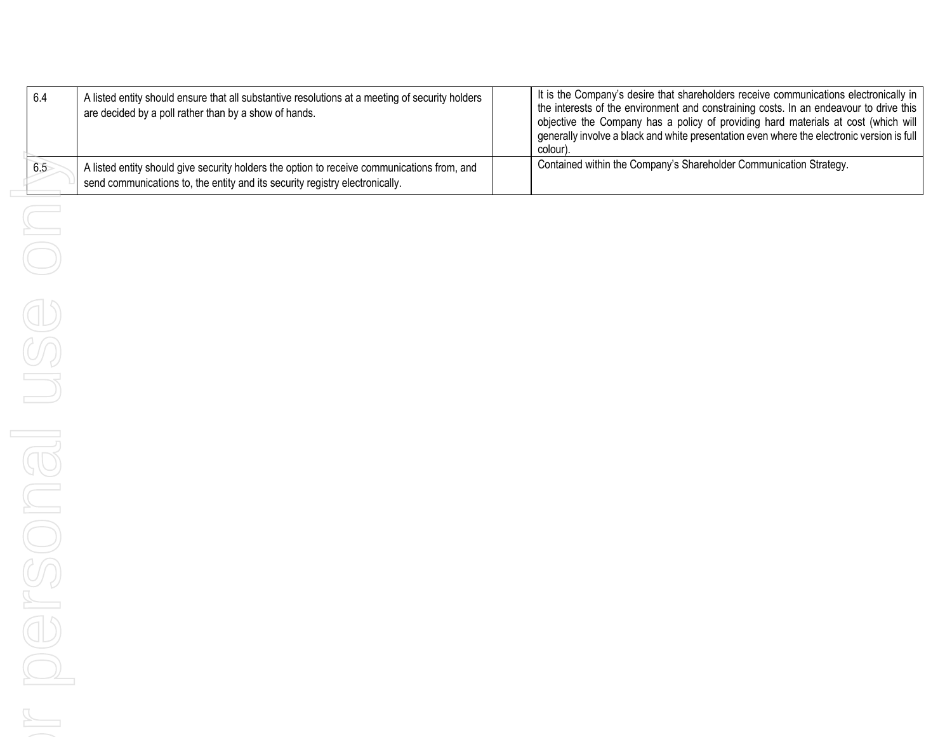| -6.4 | A listed entity should ensure that all substantive resolutions at a meeting of security holders<br>are decided by a poll rather than by a show of hands.                    | It is the Company's desire that shareholders receive communications electronically in<br>the interests of the environment and constraining costs. In an endeavour to drive this<br>objective the Company has a policy of providing hard materials at cost (which will<br>generally involve a black and white presentation even where the electronic version is full<br>colour) |
|------|-----------------------------------------------------------------------------------------------------------------------------------------------------------------------------|--------------------------------------------------------------------------------------------------------------------------------------------------------------------------------------------------------------------------------------------------------------------------------------------------------------------------------------------------------------------------------|
| 6.5  | A listed entity should give security holders the option to receive communications from, and<br>send communications to, the entity and its security registry electronically. | Contained within the Company's Shareholder Communication Strategy.                                                                                                                                                                                                                                                                                                             |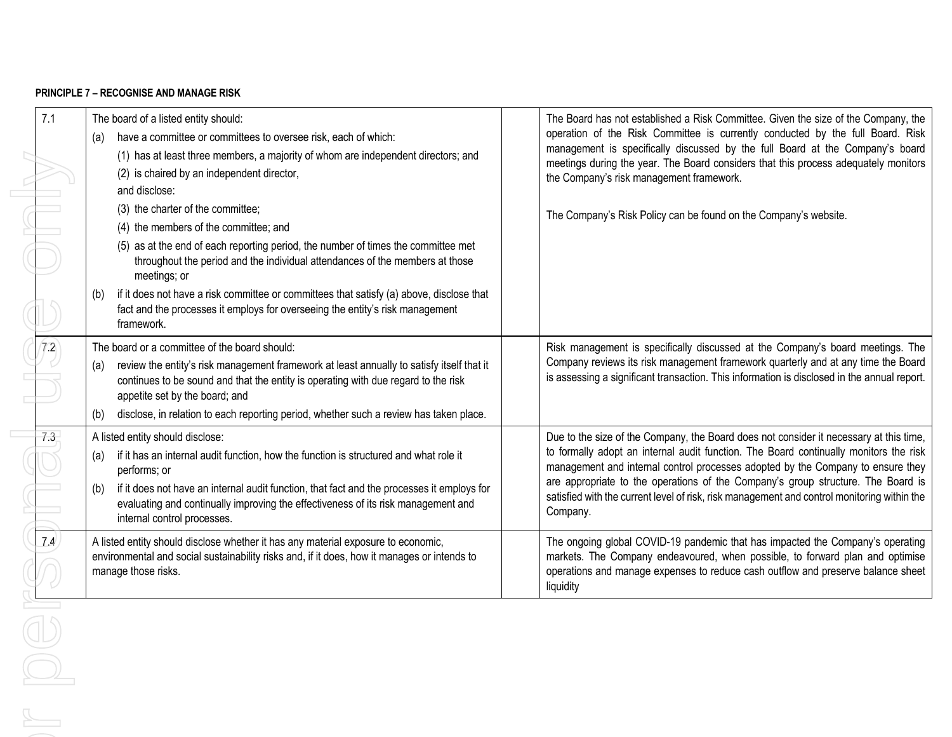### **PRINCIPLE 7 – RECOGNISE AND MANAGE RISK**

| 7.1<br>The board of a listed entity should:<br>operation of the Risk Committee is currently conducted by the full Board. Risk<br>have a committee or committees to oversee risk, each of which:<br>(a)<br>management is specifically discussed by the full Board at the Company's board<br>(1) has at least three members, a majority of whom are independent directors; and<br>meetings during the year. The Board considers that this process adequately monitors<br>(2) is chaired by an independent director,<br>the Company's risk management framework.<br>and disclose:<br>(3) the charter of the committee;<br>The Company's Risk Policy can be found on the Company's website.<br>(4) the members of the committee; and<br>(5) as at the end of each reporting period, the number of times the committee met<br>throughout the period and the individual attendances of the members at those<br>meetings; or<br>if it does not have a risk committee or committees that satisfy (a) above, disclose that<br>(b)<br>fact and the processes it employs for overseeing the entity's risk management<br>framework.<br>72<br>The board or a committee of the board should:<br>review the entity's risk management framework at least annually to satisfy itself that it<br>(a)<br>is assessing a significant transaction. This information is disclosed in the annual report.<br>continues to be sound and that the entity is operating with due regard to the risk<br>appetite set by the board; and<br>disclose, in relation to each reporting period, whether such a review has taken place.<br>(b)<br>7.3<br>A listed entity should disclose:<br>to formally adopt an internal audit function. The Board continually monitors the risk<br>if it has an internal audit function, how the function is structured and what role it<br>(a)<br>management and internal control processes adopted by the Company to ensure they<br>performs; or<br>are appropriate to the operations of the Company's group structure. The Board is<br>if it does not have an internal audit function, that fact and the processes it employs for<br>(b)<br>evaluating and continually improving the effectiveness of its risk management and<br>Company.<br>internal control processes.<br>7.4<br>A listed entity should disclose whether it has any material exposure to economic,<br>The ongoing global COVID-19 pandemic that has impacted the Company's operating<br>markets. The Company endeavoured, when possible, to forward plan and optimise<br>environmental and social sustainability risks and, if it does, how it manages or intends to<br>manage those risks.<br>liquidity<br>$\bigcirc$ |  |  |                                                                                             |
|--------------------------------------------------------------------------------------------------------------------------------------------------------------------------------------------------------------------------------------------------------------------------------------------------------------------------------------------------------------------------------------------------------------------------------------------------------------------------------------------------------------------------------------------------------------------------------------------------------------------------------------------------------------------------------------------------------------------------------------------------------------------------------------------------------------------------------------------------------------------------------------------------------------------------------------------------------------------------------------------------------------------------------------------------------------------------------------------------------------------------------------------------------------------------------------------------------------------------------------------------------------------------------------------------------------------------------------------------------------------------------------------------------------------------------------------------------------------------------------------------------------------------------------------------------------------------------------------------------------------------------------------------------------------------------------------------------------------------------------------------------------------------------------------------------------------------------------------------------------------------------------------------------------------------------------------------------------------------------------------------------------------------------------------------------------------------------------------------------------------------------------------------------------------------------------------------------------------------------------------------------------------------------------------------------------------------------------------------------------------------------------------------------------------------------------------------------------------------------------------------------------------------------------------------------------------------------------------------------------------------------------------------------------------------------------------|--|--|---------------------------------------------------------------------------------------------|
|                                                                                                                                                                                                                                                                                                                                                                                                                                                                                                                                                                                                                                                                                                                                                                                                                                                                                                                                                                                                                                                                                                                                                                                                                                                                                                                                                                                                                                                                                                                                                                                                                                                                                                                                                                                                                                                                                                                                                                                                                                                                                                                                                                                                                                                                                                                                                                                                                                                                                                                                                                                                                                                                                            |  |  | The Board has not established a Risk Committee. Given the size of the Company, the          |
|                                                                                                                                                                                                                                                                                                                                                                                                                                                                                                                                                                                                                                                                                                                                                                                                                                                                                                                                                                                                                                                                                                                                                                                                                                                                                                                                                                                                                                                                                                                                                                                                                                                                                                                                                                                                                                                                                                                                                                                                                                                                                                                                                                                                                                                                                                                                                                                                                                                                                                                                                                                                                                                                                            |  |  |                                                                                             |
|                                                                                                                                                                                                                                                                                                                                                                                                                                                                                                                                                                                                                                                                                                                                                                                                                                                                                                                                                                                                                                                                                                                                                                                                                                                                                                                                                                                                                                                                                                                                                                                                                                                                                                                                                                                                                                                                                                                                                                                                                                                                                                                                                                                                                                                                                                                                                                                                                                                                                                                                                                                                                                                                                            |  |  |                                                                                             |
|                                                                                                                                                                                                                                                                                                                                                                                                                                                                                                                                                                                                                                                                                                                                                                                                                                                                                                                                                                                                                                                                                                                                                                                                                                                                                                                                                                                                                                                                                                                                                                                                                                                                                                                                                                                                                                                                                                                                                                                                                                                                                                                                                                                                                                                                                                                                                                                                                                                                                                                                                                                                                                                                                            |  |  |                                                                                             |
|                                                                                                                                                                                                                                                                                                                                                                                                                                                                                                                                                                                                                                                                                                                                                                                                                                                                                                                                                                                                                                                                                                                                                                                                                                                                                                                                                                                                                                                                                                                                                                                                                                                                                                                                                                                                                                                                                                                                                                                                                                                                                                                                                                                                                                                                                                                                                                                                                                                                                                                                                                                                                                                                                            |  |  |                                                                                             |
|                                                                                                                                                                                                                                                                                                                                                                                                                                                                                                                                                                                                                                                                                                                                                                                                                                                                                                                                                                                                                                                                                                                                                                                                                                                                                                                                                                                                                                                                                                                                                                                                                                                                                                                                                                                                                                                                                                                                                                                                                                                                                                                                                                                                                                                                                                                                                                                                                                                                                                                                                                                                                                                                                            |  |  |                                                                                             |
|                                                                                                                                                                                                                                                                                                                                                                                                                                                                                                                                                                                                                                                                                                                                                                                                                                                                                                                                                                                                                                                                                                                                                                                                                                                                                                                                                                                                                                                                                                                                                                                                                                                                                                                                                                                                                                                                                                                                                                                                                                                                                                                                                                                                                                                                                                                                                                                                                                                                                                                                                                                                                                                                                            |  |  |                                                                                             |
|                                                                                                                                                                                                                                                                                                                                                                                                                                                                                                                                                                                                                                                                                                                                                                                                                                                                                                                                                                                                                                                                                                                                                                                                                                                                                                                                                                                                                                                                                                                                                                                                                                                                                                                                                                                                                                                                                                                                                                                                                                                                                                                                                                                                                                                                                                                                                                                                                                                                                                                                                                                                                                                                                            |  |  |                                                                                             |
|                                                                                                                                                                                                                                                                                                                                                                                                                                                                                                                                                                                                                                                                                                                                                                                                                                                                                                                                                                                                                                                                                                                                                                                                                                                                                                                                                                                                                                                                                                                                                                                                                                                                                                                                                                                                                                                                                                                                                                                                                                                                                                                                                                                                                                                                                                                                                                                                                                                                                                                                                                                                                                                                                            |  |  |                                                                                             |
|                                                                                                                                                                                                                                                                                                                                                                                                                                                                                                                                                                                                                                                                                                                                                                                                                                                                                                                                                                                                                                                                                                                                                                                                                                                                                                                                                                                                                                                                                                                                                                                                                                                                                                                                                                                                                                                                                                                                                                                                                                                                                                                                                                                                                                                                                                                                                                                                                                                                                                                                                                                                                                                                                            |  |  | Risk management is specifically discussed at the Company's board meetings. The              |
|                                                                                                                                                                                                                                                                                                                                                                                                                                                                                                                                                                                                                                                                                                                                                                                                                                                                                                                                                                                                                                                                                                                                                                                                                                                                                                                                                                                                                                                                                                                                                                                                                                                                                                                                                                                                                                                                                                                                                                                                                                                                                                                                                                                                                                                                                                                                                                                                                                                                                                                                                                                                                                                                                            |  |  | Company reviews its risk management framework quarterly and at any time the Board           |
|                                                                                                                                                                                                                                                                                                                                                                                                                                                                                                                                                                                                                                                                                                                                                                                                                                                                                                                                                                                                                                                                                                                                                                                                                                                                                                                                                                                                                                                                                                                                                                                                                                                                                                                                                                                                                                                                                                                                                                                                                                                                                                                                                                                                                                                                                                                                                                                                                                                                                                                                                                                                                                                                                            |  |  |                                                                                             |
|                                                                                                                                                                                                                                                                                                                                                                                                                                                                                                                                                                                                                                                                                                                                                                                                                                                                                                                                                                                                                                                                                                                                                                                                                                                                                                                                                                                                                                                                                                                                                                                                                                                                                                                                                                                                                                                                                                                                                                                                                                                                                                                                                                                                                                                                                                                                                                                                                                                                                                                                                                                                                                                                                            |  |  |                                                                                             |
|                                                                                                                                                                                                                                                                                                                                                                                                                                                                                                                                                                                                                                                                                                                                                                                                                                                                                                                                                                                                                                                                                                                                                                                                                                                                                                                                                                                                                                                                                                                                                                                                                                                                                                                                                                                                                                                                                                                                                                                                                                                                                                                                                                                                                                                                                                                                                                                                                                                                                                                                                                                                                                                                                            |  |  |                                                                                             |
|                                                                                                                                                                                                                                                                                                                                                                                                                                                                                                                                                                                                                                                                                                                                                                                                                                                                                                                                                                                                                                                                                                                                                                                                                                                                                                                                                                                                                                                                                                                                                                                                                                                                                                                                                                                                                                                                                                                                                                                                                                                                                                                                                                                                                                                                                                                                                                                                                                                                                                                                                                                                                                                                                            |  |  | Due to the size of the Company, the Board does not consider it necessary at this time,      |
|                                                                                                                                                                                                                                                                                                                                                                                                                                                                                                                                                                                                                                                                                                                                                                                                                                                                                                                                                                                                                                                                                                                                                                                                                                                                                                                                                                                                                                                                                                                                                                                                                                                                                                                                                                                                                                                                                                                                                                                                                                                                                                                                                                                                                                                                                                                                                                                                                                                                                                                                                                                                                                                                                            |  |  |                                                                                             |
|                                                                                                                                                                                                                                                                                                                                                                                                                                                                                                                                                                                                                                                                                                                                                                                                                                                                                                                                                                                                                                                                                                                                                                                                                                                                                                                                                                                                                                                                                                                                                                                                                                                                                                                                                                                                                                                                                                                                                                                                                                                                                                                                                                                                                                                                                                                                                                                                                                                                                                                                                                                                                                                                                            |  |  |                                                                                             |
|                                                                                                                                                                                                                                                                                                                                                                                                                                                                                                                                                                                                                                                                                                                                                                                                                                                                                                                                                                                                                                                                                                                                                                                                                                                                                                                                                                                                                                                                                                                                                                                                                                                                                                                                                                                                                                                                                                                                                                                                                                                                                                                                                                                                                                                                                                                                                                                                                                                                                                                                                                                                                                                                                            |  |  | satisfied with the current level of risk, risk management and control monitoring within the |
|                                                                                                                                                                                                                                                                                                                                                                                                                                                                                                                                                                                                                                                                                                                                                                                                                                                                                                                                                                                                                                                                                                                                                                                                                                                                                                                                                                                                                                                                                                                                                                                                                                                                                                                                                                                                                                                                                                                                                                                                                                                                                                                                                                                                                                                                                                                                                                                                                                                                                                                                                                                                                                                                                            |  |  |                                                                                             |
|                                                                                                                                                                                                                                                                                                                                                                                                                                                                                                                                                                                                                                                                                                                                                                                                                                                                                                                                                                                                                                                                                                                                                                                                                                                                                                                                                                                                                                                                                                                                                                                                                                                                                                                                                                                                                                                                                                                                                                                                                                                                                                                                                                                                                                                                                                                                                                                                                                                                                                                                                                                                                                                                                            |  |  |                                                                                             |
|                                                                                                                                                                                                                                                                                                                                                                                                                                                                                                                                                                                                                                                                                                                                                                                                                                                                                                                                                                                                                                                                                                                                                                                                                                                                                                                                                                                                                                                                                                                                                                                                                                                                                                                                                                                                                                                                                                                                                                                                                                                                                                                                                                                                                                                                                                                                                                                                                                                                                                                                                                                                                                                                                            |  |  | operations and manage expenses to reduce cash outflow and preserve balance sheet            |
|                                                                                                                                                                                                                                                                                                                                                                                                                                                                                                                                                                                                                                                                                                                                                                                                                                                                                                                                                                                                                                                                                                                                                                                                                                                                                                                                                                                                                                                                                                                                                                                                                                                                                                                                                                                                                                                                                                                                                                                                                                                                                                                                                                                                                                                                                                                                                                                                                                                                                                                                                                                                                                                                                            |  |  |                                                                                             |
|                                                                                                                                                                                                                                                                                                                                                                                                                                                                                                                                                                                                                                                                                                                                                                                                                                                                                                                                                                                                                                                                                                                                                                                                                                                                                                                                                                                                                                                                                                                                                                                                                                                                                                                                                                                                                                                                                                                                                                                                                                                                                                                                                                                                                                                                                                                                                                                                                                                                                                                                                                                                                                                                                            |  |  |                                                                                             |
|                                                                                                                                                                                                                                                                                                                                                                                                                                                                                                                                                                                                                                                                                                                                                                                                                                                                                                                                                                                                                                                                                                                                                                                                                                                                                                                                                                                                                                                                                                                                                                                                                                                                                                                                                                                                                                                                                                                                                                                                                                                                                                                                                                                                                                                                                                                                                                                                                                                                                                                                                                                                                                                                                            |  |  |                                                                                             |
|                                                                                                                                                                                                                                                                                                                                                                                                                                                                                                                                                                                                                                                                                                                                                                                                                                                                                                                                                                                                                                                                                                                                                                                                                                                                                                                                                                                                                                                                                                                                                                                                                                                                                                                                                                                                                                                                                                                                                                                                                                                                                                                                                                                                                                                                                                                                                                                                                                                                                                                                                                                                                                                                                            |  |  |                                                                                             |
|                                                                                                                                                                                                                                                                                                                                                                                                                                                                                                                                                                                                                                                                                                                                                                                                                                                                                                                                                                                                                                                                                                                                                                                                                                                                                                                                                                                                                                                                                                                                                                                                                                                                                                                                                                                                                                                                                                                                                                                                                                                                                                                                                                                                                                                                                                                                                                                                                                                                                                                                                                                                                                                                                            |  |  |                                                                                             |
|                                                                                                                                                                                                                                                                                                                                                                                                                                                                                                                                                                                                                                                                                                                                                                                                                                                                                                                                                                                                                                                                                                                                                                                                                                                                                                                                                                                                                                                                                                                                                                                                                                                                                                                                                                                                                                                                                                                                                                                                                                                                                                                                                                                                                                                                                                                                                                                                                                                                                                                                                                                                                                                                                            |  |  |                                                                                             |
|                                                                                                                                                                                                                                                                                                                                                                                                                                                                                                                                                                                                                                                                                                                                                                                                                                                                                                                                                                                                                                                                                                                                                                                                                                                                                                                                                                                                                                                                                                                                                                                                                                                                                                                                                                                                                                                                                                                                                                                                                                                                                                                                                                                                                                                                                                                                                                                                                                                                                                                                                                                                                                                                                            |  |  |                                                                                             |
|                                                                                                                                                                                                                                                                                                                                                                                                                                                                                                                                                                                                                                                                                                                                                                                                                                                                                                                                                                                                                                                                                                                                                                                                                                                                                                                                                                                                                                                                                                                                                                                                                                                                                                                                                                                                                                                                                                                                                                                                                                                                                                                                                                                                                                                                                                                                                                                                                                                                                                                                                                                                                                                                                            |  |  |                                                                                             |
|                                                                                                                                                                                                                                                                                                                                                                                                                                                                                                                                                                                                                                                                                                                                                                                                                                                                                                                                                                                                                                                                                                                                                                                                                                                                                                                                                                                                                                                                                                                                                                                                                                                                                                                                                                                                                                                                                                                                                                                                                                                                                                                                                                                                                                                                                                                                                                                                                                                                                                                                                                                                                                                                                            |  |  |                                                                                             |
|                                                                                                                                                                                                                                                                                                                                                                                                                                                                                                                                                                                                                                                                                                                                                                                                                                                                                                                                                                                                                                                                                                                                                                                                                                                                                                                                                                                                                                                                                                                                                                                                                                                                                                                                                                                                                                                                                                                                                                                                                                                                                                                                                                                                                                                                                                                                                                                                                                                                                                                                                                                                                                                                                            |  |  |                                                                                             |